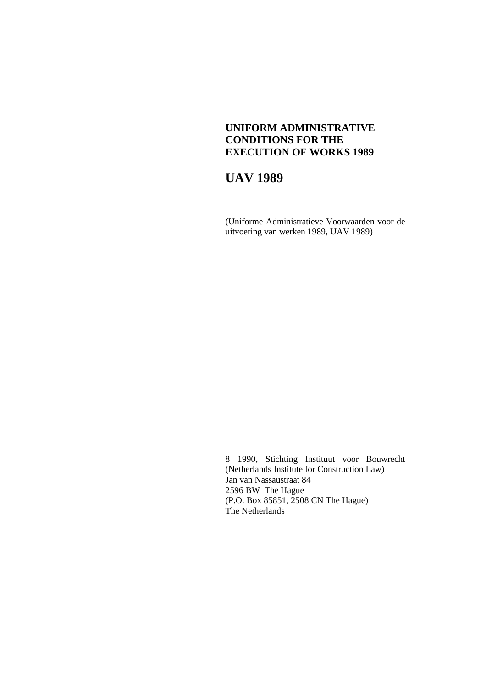## **UNIFORM ADMINISTRATIVE CONDITIONS FOR THE EXECUTION OF WORKS 1989**

# **UAV 1989**

(Uniforme Administratieve Voorwaarden voor de uitvoering van werken 1989, UAV 1989)

8 1990, Stichting Instituut voor Bouwrecht (Netherlands Institute for Construction Law) Jan van Nassaustraat 84 2596 BW The Hague (P.O. Box 85851, 2508 CN The Hague) The Netherlands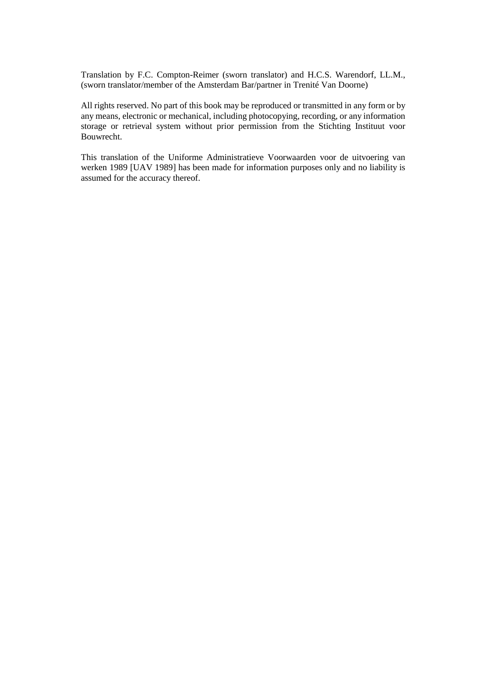Translation by F.C. Compton-Reimer (sworn translator) and H.C.S. Warendorf, LL.M., (sworn translator/member of the Amsterdam Bar/partner in Trenité Van Doorne)

All rights reserved. No part of this book may be reproduced or transmitted in any form or by any means, electronic or mechanical, including photocopying, recording, or any information storage or retrieval system without prior permission from the Stichting Instituut voor Bouwrecht.

This translation of the Uniforme Administratieve Voorwaarden voor de uitvoering van werken 1989 [UAV 1989] has been made for information purposes only and no liability is assumed for the accuracy thereof.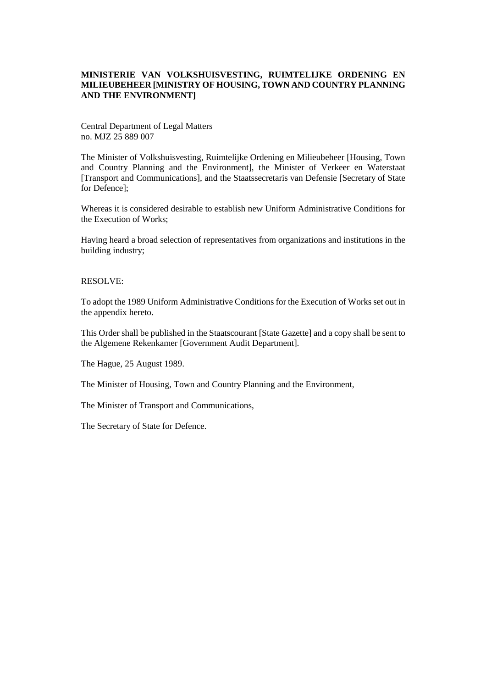#### **MINISTERIE VAN VOLKSHUISVESTING, RUIMTELIJKE ORDENING EN MILIEUBEHEER [MINISTRY OF HOUSING, TOWN AND COUNTRY PLANNING AND THE ENVIRONMENT]**

Central Department of Legal Matters no. MJZ 25 889 007

The Minister of Volkshuisvesting, Ruimtelijke Ordening en Milieubeheer [Housing, Town and Country Planning and the Environment], the Minister of Verkeer en Waterstaat [Transport and Communications], and the Staatssecretaris van Defensie [Secretary of State for Defence];

Whereas it is considered desirable to establish new Uniform Administrative Conditions for the Execution of Works;

Having heard a broad selection of representatives from organizations and institutions in the building industry;

#### RESOLVE:

To adopt the 1989 Uniform Administrative Conditions for the Execution of Works set out in the appendix hereto.

This Order shall be published in the Staatscourant [State Gazette] and a copy shall be sent to the Algemene Rekenkamer [Government Audit Department].

The Hague, 25 August 1989.

The Minister of Housing, Town and Country Planning and the Environment,

The Minister of Transport and Communications,

The Secretary of State for Defence.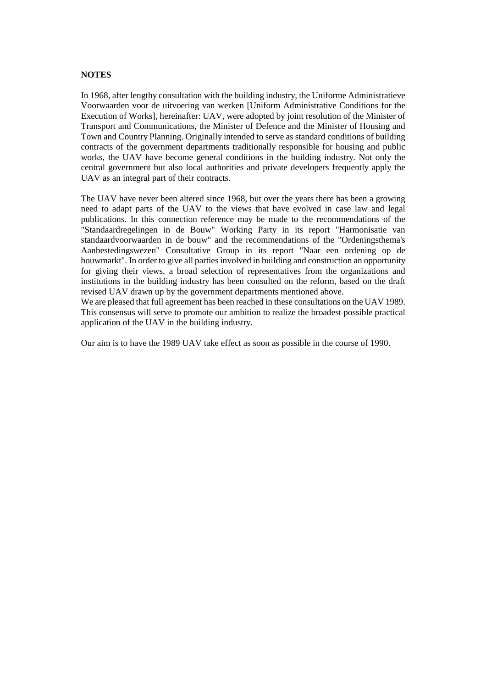#### **NOTES**

In 1968, after lengthy consultation with the building industry, the Uniforme Administratieve Voorwaarden voor de uitvoering van werken [Uniform Administrative Conditions for the Execution of Works], hereinafter: UAV, were adopted by joint resolution of the Minister of Transport and Communications, the Minister of Defence and the Minister of Housing and Town and Country Planning. Originally intended to serve as standard conditions of building contracts of the government departments traditionally responsible for housing and public works, the UAV have become general conditions in the building industry. Not only the central government but also local authorities and private developers frequently apply the UAV as an integral part of their contracts.

The UAV have never been altered since 1968, but over the years there has been a growing need to adapt parts of the UAV to the views that have evolved in case law and legal publications. In this connection reference may be made to the recommendations of the "Standaardregelingen in de Bouw" Working Party in its report "Harmonisatie van standaardvoorwaarden in de bouw" and the recommendations of the "Ordeningsthema's Aanbestedingswezen" Consultative Group in its report "Naar een ordening op de bouwmarkt". In order to give all parties involved in building and construction an opportunity for giving their views, a broad selection of representatives from the organizations and institutions in the building industry has been consulted on the reform, based on the draft revised UAV drawn up by the government departments mentioned above.

We are pleased that full agreement has been reached in these consultations on the UAV 1989. This consensus will serve to promote our ambition to realize the broadest possible practical application of the UAV in the building industry.

Our aim is to have the 1989 UAV take effect as soon as possible in the course of 1990.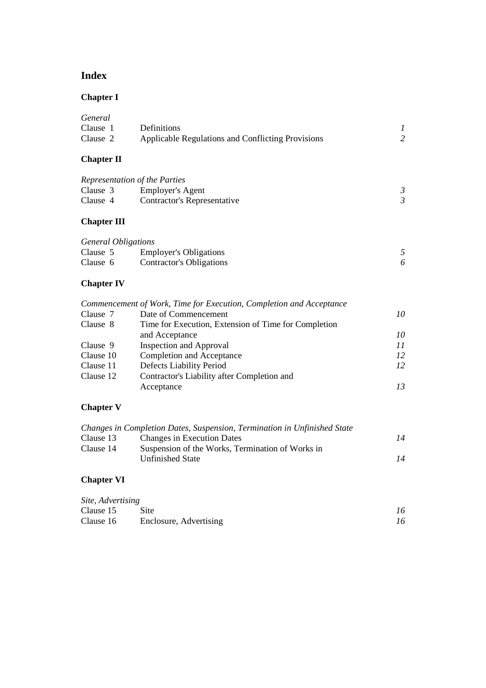## **Index**

## **Chapter I**

| General  |                                                   |  |
|----------|---------------------------------------------------|--|
| Clause 1 | <b>Definitions</b>                                |  |
| Clause 2 | Applicable Regulations and Conflicting Provisions |  |

## **Chapter II**

| Representation of the Parties |                             |  |
|-------------------------------|-----------------------------|--|
| Clause 3                      | Employer's Agent            |  |
| Clause 4                      | Contractor's Representative |  |

## **Chapter III**

| <i>General Obligations</i> |                               |  |
|----------------------------|-------------------------------|--|
| Clause 5                   | <b>Employer's Obligations</b> |  |
| Clause 6                   | Contractor's Obligations      |  |

## **Chapter IV**

|           | Commencement of Work, Time for Execution, Completion and Acceptance |    |
|-----------|---------------------------------------------------------------------|----|
| Clause 7  | Date of Commencement                                                | 10 |
| Clause 8  | Time for Execution, Extension of Time for Completion                |    |
|           | and Acceptance                                                      | 10 |
| Clause 9  | <b>Inspection and Approval</b>                                      | 11 |
| Clause 10 | Completion and Acceptance                                           | 12 |
| Clause 11 | Defects Liability Period                                            | 12 |
| Clause 12 | Contractor's Liability after Completion and                         |    |
|           | Acceptance                                                          | 13 |

## **Chapter V**

|           | Changes in Completion Dates, Suspension, Termination in Unfinished State |    |
|-----------|--------------------------------------------------------------------------|----|
| Clause 13 | Changes in Execution Dates                                               | 14 |
| Clause 14 | Suspension of the Works, Termination of Works in                         |    |
|           | <b>Unfinished State</b>                                                  | 14 |
|           |                                                                          |    |

# **Chapter VI**

| Site, Advertising |                        |    |
|-------------------|------------------------|----|
| Clause 15         | Site                   | 16 |
| Clause 16         | Enclosure, Advertising | 16 |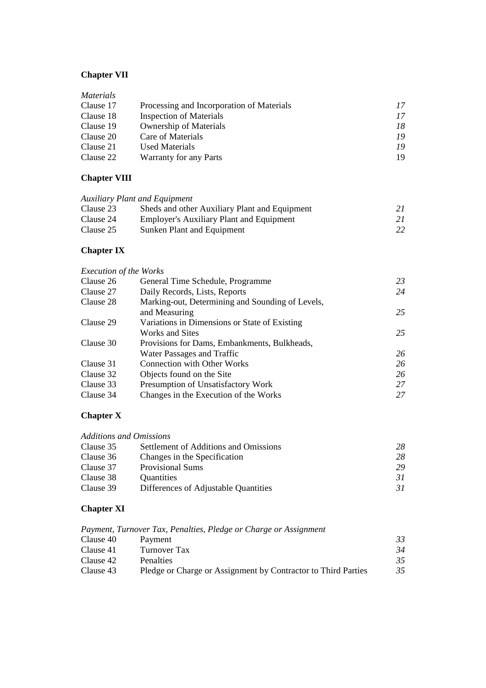## **Chapter VII**

| <i>Materials</i> |                                           |    |
|------------------|-------------------------------------------|----|
| Clause 17        | Processing and Incorporation of Materials | 17 |
| Clause 18        | <b>Inspection of Materials</b>            | 17 |
| Clause 19        | <b>Ownership of Materials</b>             | 18 |
| Clause 20        | Care of Materials                         | 19 |
| Clause 21        | Used Materials                            | 19 |
| Clause 22        | Warranty for any Parts                    | 19 |

## **Chapter VIII**

| Sheds and other Auxiliary Plant and Equipment   | 21                                   |
|-------------------------------------------------|--------------------------------------|
| <b>Employer's Auxiliary Plant and Equipment</b> | 21                                   |
| Sunken Plant and Equipment                      | 22                                   |
|                                                 | <b>Auxiliary Plant and Equipment</b> |

## **Chapter IX**

| <b>Execution of the Works</b> |                                                  |    |
|-------------------------------|--------------------------------------------------|----|
| Clause 26                     | General Time Schedule, Programme                 | 23 |
| Clause 27                     | Daily Records, Lists, Reports                    | 24 |
| Clause 28                     | Marking-out, Determining and Sounding of Levels, |    |
|                               | and Measuring                                    | 25 |
| Clause 29                     | Variations in Dimensions or State of Existing    |    |
|                               | Works and Sites                                  | 25 |
| Clause 30                     | Provisions for Dams, Embankments, Bulkheads,     |    |
|                               | Water Passages and Traffic                       | 26 |
| Clause 31                     | <b>Connection with Other Works</b>               | 26 |
| Clause 32                     | Objects found on the Site                        | 26 |
| Clause 33                     | Presumption of Unsatisfactory Work               | 27 |
| Clause 34                     | Changes in the Execution of the Works            | 27 |

## **Chapter X**

| <b>Additions and Omissions</b> |                                       |    |
|--------------------------------|---------------------------------------|----|
| Clause 35                      | Settlement of Additions and Omissions | 28 |
| Clause 36                      | Changes in the Specification          | 28 |
| Clause 37                      | <b>Provisional Sums</b>               | 29 |
| Clause 38                      | Quantities                            | 31 |
| Clause 39                      | Differences of Adjustable Quantities  | 31 |

## **Chapter XI**

|           | Payment, Turnover Tax, Penalties, Pledge or Charge or Assignment |    |
|-----------|------------------------------------------------------------------|----|
| Clause 40 | Payment                                                          | 33 |
| Clause 41 | Turnover Tax                                                     | 34 |
| Clause 42 | <b>Penalties</b>                                                 | 35 |
| Clause 43 | Pledge or Charge or Assignment by Contractor to Third Parties    | 35 |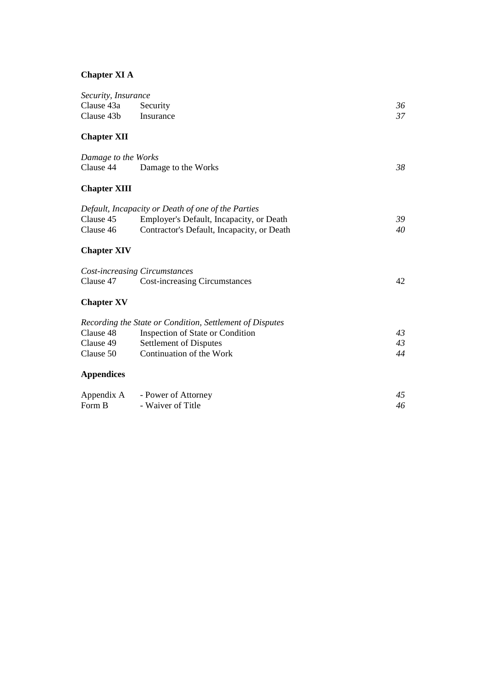## **Chapter XI A**

| Security, Insurance |                                                          |    |
|---------------------|----------------------------------------------------------|----|
| Clause 43a          | Security                                                 | 36 |
| Clause 43b          | Insurance                                                | 37 |
| <b>Chapter XII</b>  |                                                          |    |
| Damage to the Works |                                                          |    |
| Clause 44           | Damage to the Works                                      | 38 |
| <b>Chapter XIII</b> |                                                          |    |
|                     | Default, Incapacity or Death of one of the Parties       |    |
| Clause 45           | Employer's Default, Incapacity, or Death                 | 39 |
| Clause 46           | Contractor's Default, Incapacity, or Death               | 40 |
| <b>Chapter XIV</b>  |                                                          |    |
|                     | <b>Cost-increasing Circumstances</b>                     |    |
| Clause 47           | <b>Cost-increasing Circumstances</b>                     | 42 |
| <b>Chapter XV</b>   |                                                          |    |
|                     | Recording the State or Condition, Settlement of Disputes |    |
| Clause 48           | Inspection of State or Condition                         | 43 |
| Clause 49           | Settlement of Disputes                                   | 43 |
| Clause 50           | Continuation of the Work                                 | 44 |
| <b>Appendices</b>   |                                                          |    |
| Appendix A          | - Power of Attorney                                      | 45 |
| Form B              | - Waiver of Title                                        | 46 |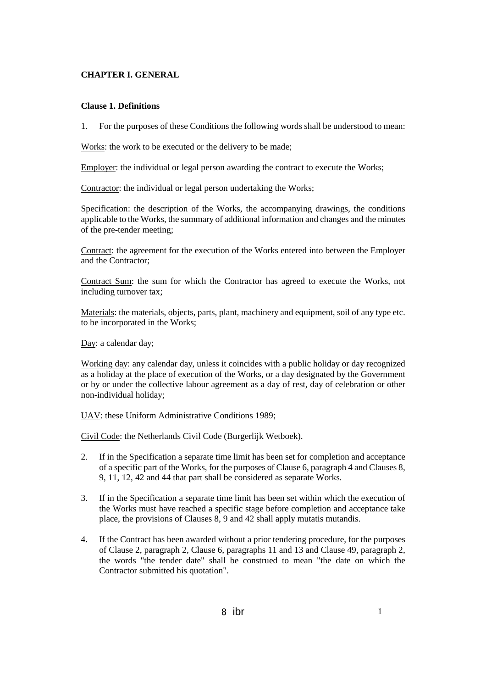#### **CHAPTER I. GENERAL**

#### **Clause 1. Definitions**

1. For the purposes of these Conditions the following words shall be understood to mean:

Works: the work to be executed or the delivery to be made;

Employer: the individual or legal person awarding the contract to execute the Works;

Contractor: the individual or legal person undertaking the Works;

Specification: the description of the Works, the accompanying drawings, the conditions applicable to the Works, the summary of additional information and changes and the minutes of the pre-tender meeting;

Contract: the agreement for the execution of the Works entered into between the Employer and the Contractor;

Contract Sum: the sum for which the Contractor has agreed to execute the Works, not including turnover tax;

Materials: the materials, objects, parts, plant, machinery and equipment, soil of any type etc. to be incorporated in the Works;

Day: a calendar day;

Working day: any calendar day, unless it coincides with a public holiday or day recognized as a holiday at the place of execution of the Works, or a day designated by the Government or by or under the collective labour agreement as a day of rest, day of celebration or other non-individual holiday;

UAV: these Uniform Administrative Conditions 1989;

Civil Code: the Netherlands Civil Code (Burgerlijk Wetboek).

- 2. If in the Specification a separate time limit has been set for completion and acceptance of a specific part of the Works, for the purposes of Clause 6, paragraph 4 and Clauses 8, 9, 11, 12, 42 and 44 that part shall be considered as separate Works.
- 3. If in the Specification a separate time limit has been set within which the execution of the Works must have reached a specific stage before completion and acceptance take place, the provisions of Clauses 8, 9 and 42 shall apply mutatis mutandis.
- 4. If the Contract has been awarded without a prior tendering procedure, for the purposes of Clause 2, paragraph 2, Clause 6, paragraphs 11 and 13 and Clause 49, paragraph 2, the words "the tender date" shall be construed to mean "the date on which the Contractor submitted his quotation".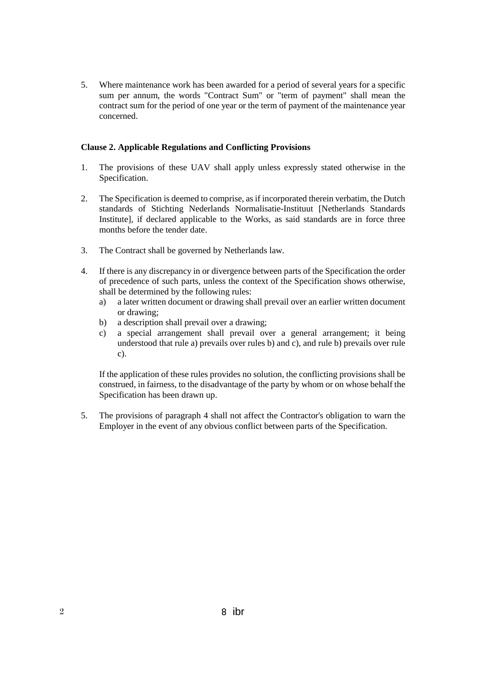5. Where maintenance work has been awarded for a period of several years for a specific sum per annum, the words "Contract Sum" or "term of payment" shall mean the contract sum for the period of one year or the term of payment of the maintenance year concerned.

#### **Clause 2. Applicable Regulations and Conflicting Provisions**

- 1. The provisions of these UAV shall apply unless expressly stated otherwise in the Specification.
- 2. The Specification is deemed to comprise, as if incorporated therein verbatim, the Dutch standards of Stichting Nederlands Normalisatie-Instituut [Netherlands Standards Institute], if declared applicable to the Works, as said standards are in force three months before the tender date.
- 3. The Contract shall be governed by Netherlands law.
- 4. If there is any discrepancy in or divergence between parts of the Specification the order of precedence of such parts, unless the context of the Specification shows otherwise, shall be determined by the following rules:
	- a) a later written document or drawing shall prevail over an earlier written document or drawing;
	- b) a description shall prevail over a drawing;
	- c) a special arrangement shall prevail over a general arrangement; it being understood that rule a) prevails over rules b) and c), and rule b) prevails over rule c).

If the application of these rules provides no solution, the conflicting provisions shall be construed, in fairness, to the disadvantage of the party by whom or on whose behalf the Specification has been drawn up.

5. The provisions of paragraph 4 shall not affect the Contractor's obligation to warn the Employer in the event of any obvious conflict between parts of the Specification.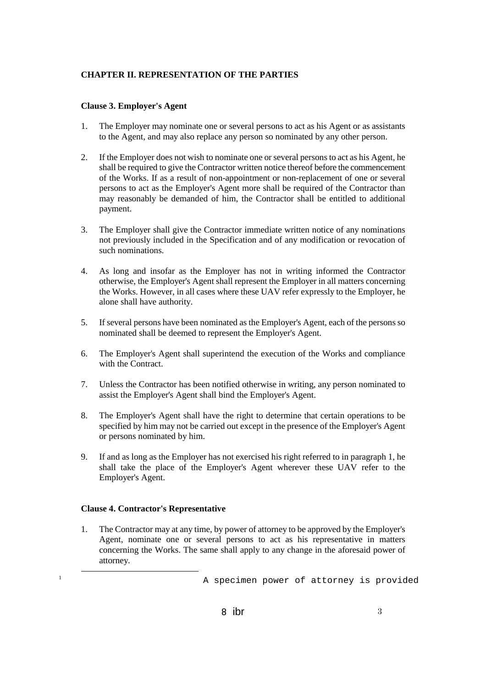## **CHAPTER II. REPRESENTATION OF THE PARTIES**

### **Clause 3. Employer's Agent**

- 1. The Employer may nominate one or several persons to act as his Agent or as assistants to the Agent, and may also replace any person so nominated by any other person.
- 2. If the Employer does not wish to nominate one or several persons to act as his Agent, he shall be required to give the Contractor written notice thereof before the commencement of the Works. If as a result of non-appointment or non-replacement of one or several persons to act as the Employer's Agent more shall be required of the Contractor than may reasonably be demanded of him, the Contractor shall be entitled to additional payment.
- 3. The Employer shall give the Contractor immediate written notice of any nominations not previously included in the Specification and of any modification or revocation of such nominations.
- 4. As long and insofar as the Employer has not in writing informed the Contractor otherwise, the Employer's Agent shall represent the Employer in all matters concerning the Works. However, in all cases where these UAV refer expressly to the Employer, he alone shall have authority.
- 5. If several persons have been nominated as the Employer's Agent, each of the persons so nominated shall be deemed to represent the Employer's Agent.
- 6. The Employer's Agent shall superintend the execution of the Works and compliance with the Contract.
- 7. Unless the Contractor has been notified otherwise in writing, any person nominated to assist the Employer's Agent shall bind the Employer's Agent.
- 8. The Employer's Agent shall have the right to determine that certain operations to be specified by him may not be carried out except in the presence of the Employer's Agent or persons nominated by him.
- 9. If and as long as the Employer has not exercised his right referred to in paragraph 1, he shall take the place of the Employer's Agent wherever these UAV refer to the Employer's Agent.

## **Clause 4. Contractor's Representative**

-

1. The Contractor may at any time, by power of attorney to be approved by the Employer's Agent, nominate one or several persons to act as his representative in matters concerning the Works. The same shall apply to any change in the aforesaid power of attorney.

<sup>1</sup> A specimen power of attorney is provided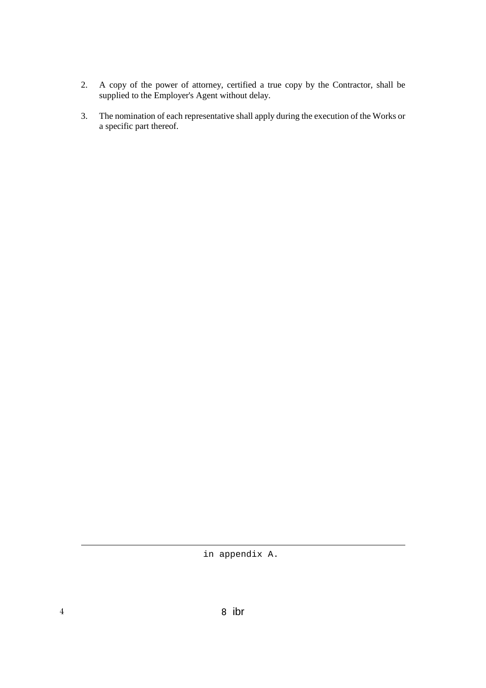- 2. A copy of the power of attorney, certified a true copy by the Contractor, shall be supplied to the Employer's Agent without delay.
- 3. The nomination of each representative shall apply during the execution of the Works or a specific part thereof.

-

in appendix A.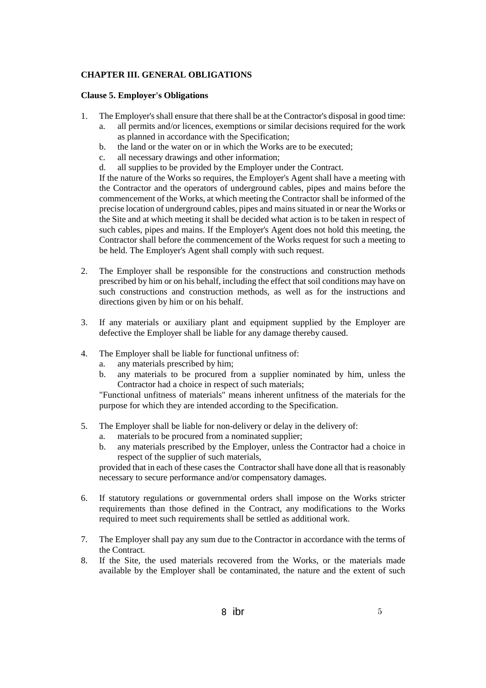## **CHAPTER III. GENERAL OBLIGATIONS**

#### **Clause 5. Employer's Obligations**

- 1. The Employer's shall ensure that there shall be at the Contractor's disposal in good time:
	- a. all permits and/or licences, exemptions or similar decisions required for the work as planned in accordance with the Specification;
	- b. the land or the water on or in which the Works are to be executed;
	- c. all necessary drawings and other information;
	- d. all supplies to be provided by the Employer under the Contract.

If the nature of the Works so requires, the Employer's Agent shall have a meeting with the Contractor and the operators of underground cables, pipes and mains before the commencement of the Works, at which meeting the Contractor shall be informed of the precise location of underground cables, pipes and mains situated in or near the Works or the Site and at which meeting it shall be decided what action is to be taken in respect of such cables, pipes and mains. If the Employer's Agent does not hold this meeting, the Contractor shall before the commencement of the Works request for such a meeting to be held. The Employer's Agent shall comply with such request.

- 2. The Employer shall be responsible for the constructions and construction methods prescribed by him or on his behalf, including the effect that soil conditions may have on such constructions and construction methods, as well as for the instructions and directions given by him or on his behalf.
- 3. If any materials or auxiliary plant and equipment supplied by the Employer are defective the Employer shall be liable for any damage thereby caused.
- 4. The Employer shall be liable for functional unfitness of:
	- a. any materials prescribed by him;
	- b. any materials to be procured from a supplier nominated by him, unless the Contractor had a choice in respect of such materials;

"Functional unfitness of materials" means inherent unfitness of the materials for the purpose for which they are intended according to the Specification.

- 5. The Employer shall be liable for non-delivery or delay in the delivery of:
	- a. materials to be procured from a nominated supplier;
	- b. any materials prescribed by the Employer, unless the Contractor had a choice in respect of the supplier of such materials,

provided that in each of these cases the Contractor shall have done all that is reasonably necessary to secure performance and/or compensatory damages.

- 6. If statutory regulations or governmental orders shall impose on the Works stricter requirements than those defined in the Contract, any modifications to the Works required to meet such requirements shall be settled as additional work.
- 7. The Employer shall pay any sum due to the Contractor in accordance with the terms of the Contract.
- 8. If the Site, the used materials recovered from the Works, or the materials made available by the Employer shall be contaminated, the nature and the extent of such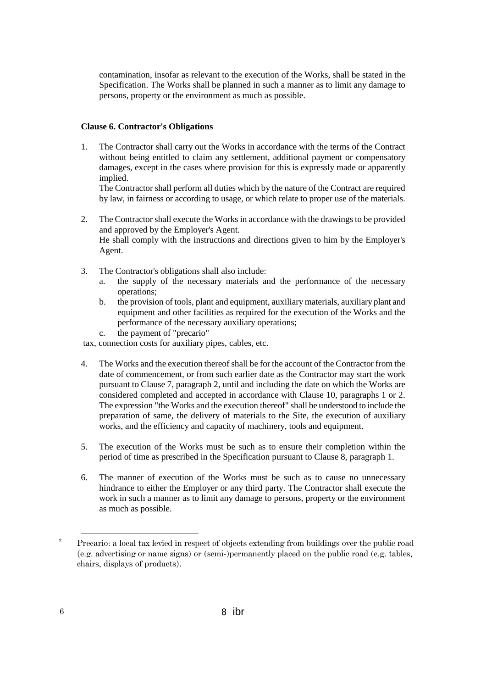contamination, insofar as relevant to the execution of the Works, shall be stated in the Specification. The Works shall be planned in such a manner as to limit any damage to persons, property or the environment as much as possible.

## **Clause 6. Contractor's Obligations**

1. The Contractor shall carry out the Works in accordance with the terms of the Contract without being entitled to claim any settlement, additional payment or compensatory damages, except in the cases where provision for this is expressly made or apparently implied.

The Contractor shall perform all duties which by the nature of the Contract are required by law, in fairness or according to usage, or which relate to proper use of the materials.

- 2. The Contractor shall execute the Works in accordance with the drawings to be provided and approved by the Employer's Agent. He shall comply with the instructions and directions given to him by the Employer's Agent.
- 3. The Contractor's obligations shall also include:
	- a. the supply of the necessary materials and the performance of the necessary operations;
	- b. the provision of tools, plant and equipment, auxiliary materials, auxiliary plant and equipment and other facilities as required for the execution of the Works and the performance of the necessary auxiliary operations;
	- c. the payment of "precario"

tax, connection costs for auxiliary pipes, cables, etc.

- 4. The Works and the execution thereof shall be for the account of the Contractor from the date of commencement, or from such earlier date as the Contractor may start the work pursuant to Clause 7, paragraph 2, until and including the date on which the Works are considered completed and accepted in accordance with Clause 10, paragraphs 1 or 2. The expression "the Works and the execution thereof" shall be understood to include the preparation of same, the delivery of materials to the Site, the execution of auxiliary works, and the efficiency and capacity of machinery, tools and equipment.
- 5. The execution of the Works must be such as to ensure their completion within the period of time as prescribed in the Specification pursuant to Clause 8, paragraph 1.
- 6. The manner of execution of the Works must be such as to cause no unnecessary hindrance to either the Employer or any third party. The Contractor shall execute the work in such a manner as to limit any damage to persons, property or the environment as much as possible.

-

<sup>2</sup> Precario: a local tax levied in respect of objects extending from buildings over the public road (e.g. advertising or name signs) or (semi-)permanently placed on the public road (e.g. tables, chairs, displays of products).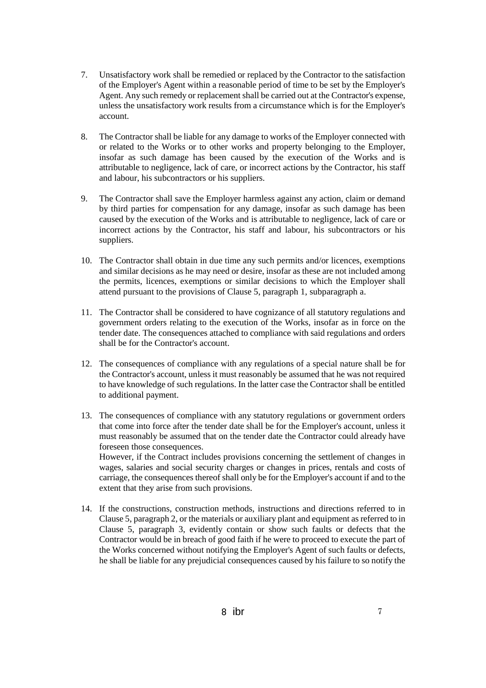- 7. Unsatisfactory work shall be remedied or replaced by the Contractor to the satisfaction of the Employer's Agent within a reasonable period of time to be set by the Employer's Agent. Any such remedy or replacement shall be carried out at the Contractor's expense, unless the unsatisfactory work results from a circumstance which is for the Employer's account.
- 8. The Contractor shall be liable for any damage to works of the Employer connected with or related to the Works or to other works and property belonging to the Employer, insofar as such damage has been caused by the execution of the Works and is attributable to negligence, lack of care, or incorrect actions by the Contractor, his staff and labour, his subcontractors or his suppliers.
- 9. The Contractor shall save the Employer harmless against any action, claim or demand by third parties for compensation for any damage, insofar as such damage has been caused by the execution of the Works and is attributable to negligence, lack of care or incorrect actions by the Contractor, his staff and labour, his subcontractors or his suppliers.
- 10. The Contractor shall obtain in due time any such permits and/or licences, exemptions and similar decisions as he may need or desire, insofar as these are not included among the permits, licences, exemptions or similar decisions to which the Employer shall attend pursuant to the provisions of Clause 5, paragraph 1, subparagraph a.
- 11. The Contractor shall be considered to have cognizance of all statutory regulations and government orders relating to the execution of the Works, insofar as in force on the tender date. The consequences attached to compliance with said regulations and orders shall be for the Contractor's account.
- 12. The consequences of compliance with any regulations of a special nature shall be for the Contractor's account, unless it must reasonably be assumed that he was not required to have knowledge of such regulations. In the latter case the Contractor shall be entitled to additional payment.
- 13. The consequences of compliance with any statutory regulations or government orders that come into force after the tender date shall be for the Employer's account, unless it must reasonably be assumed that on the tender date the Contractor could already have foreseen those consequences. However, if the Contract includes provisions concerning the settlement of changes in

wages, salaries and social security charges or changes in prices, rentals and costs of carriage, the consequences thereof shall only be for the Employer's account if and to the extent that they arise from such provisions.

14. If the constructions, construction methods, instructions and directions referred to in Clause 5, paragraph 2, or the materials or auxiliary plant and equipment as referred to in Clause 5, paragraph 3, evidently contain or show such faults or defects that the Contractor would be in breach of good faith if he were to proceed to execute the part of the Works concerned without notifying the Employer's Agent of such faults or defects, he shall be liable for any prejudicial consequences caused by his failure to so notify the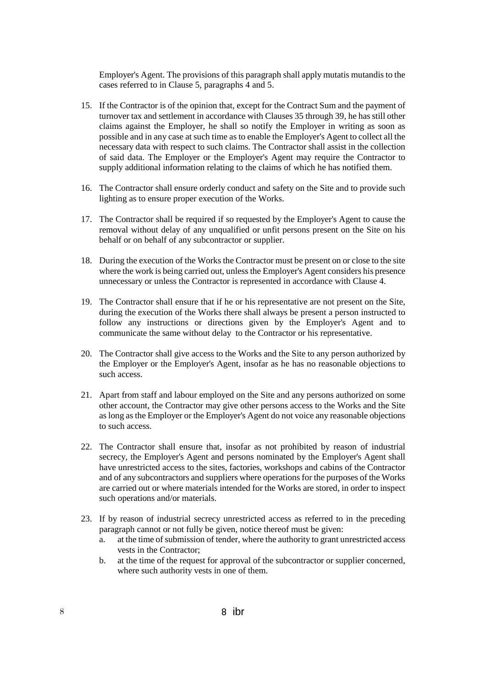Employer's Agent. The provisions of this paragraph shall apply mutatis mutandis to the cases referred to in Clause 5, paragraphs 4 and 5.

- 15. If the Contractor is of the opinion that, except for the Contract Sum and the payment of turnover tax and settlement in accordance with Clauses 35 through 39, he has still other claims against the Employer, he shall so notify the Employer in writing as soon as possible and in any case at such time as to enable the Employer's Agent to collect all the necessary data with respect to such claims. The Contractor shall assist in the collection of said data. The Employer or the Employer's Agent may require the Contractor to supply additional information relating to the claims of which he has notified them.
- 16. The Contractor shall ensure orderly conduct and safety on the Site and to provide such lighting as to ensure proper execution of the Works.
- 17. The Contractor shall be required if so requested by the Employer's Agent to cause the removal without delay of any unqualified or unfit persons present on the Site on his behalf or on behalf of any subcontractor or supplier.
- 18. During the execution of the Works the Contractor must be present on or close to the site where the work is being carried out, unless the Employer's Agent considers his presence unnecessary or unless the Contractor is represented in accordance with Clause 4.
- 19. The Contractor shall ensure that if he or his representative are not present on the Site, during the execution of the Works there shall always be present a person instructed to follow any instructions or directions given by the Employer's Agent and to communicate the same without delay to the Contractor or his representative.
- 20. The Contractor shall give access to the Works and the Site to any person authorized by the Employer or the Employer's Agent, insofar as he has no reasonable objections to such access.
- 21. Apart from staff and labour employed on the Site and any persons authorized on some other account, the Contractor may give other persons access to the Works and the Site as long as the Employer or the Employer's Agent do not voice any reasonable objections to such access.
- 22. The Contractor shall ensure that, insofar as not prohibited by reason of industrial secrecy, the Employer's Agent and persons nominated by the Employer's Agent shall have unrestricted access to the sites, factories, workshops and cabins of the Contractor and of any subcontractors and suppliers where operations for the purposes of the Works are carried out or where materials intended for the Works are stored, in order to inspect such operations and/or materials.
- 23. If by reason of industrial secrecy unrestricted access as referred to in the preceding paragraph cannot or not fully be given, notice thereof must be given:
	- a. at the time of submission of tender, where the authority to grant unrestricted access vests in the Contractor;
	- b. at the time of the request for approval of the subcontractor or supplier concerned, where such authority vests in one of them.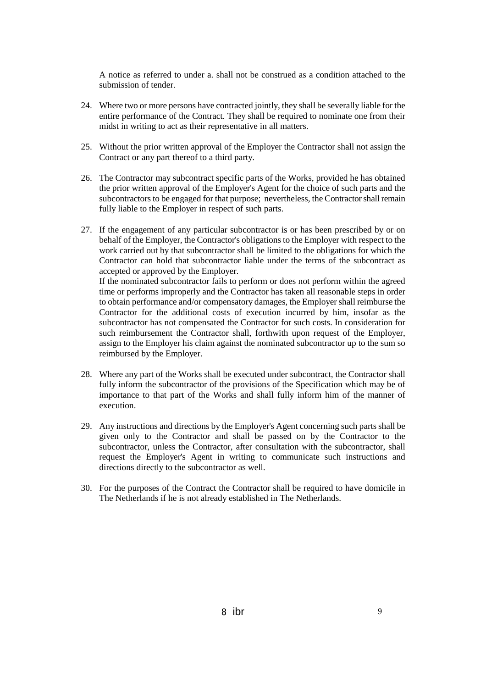A notice as referred to under a. shall not be construed as a condition attached to the submission of tender.

- 24. Where two or more persons have contracted jointly, they shall be severally liable for the entire performance of the Contract. They shall be required to nominate one from their midst in writing to act as their representative in all matters.
- 25. Without the prior written approval of the Employer the Contractor shall not assign the Contract or any part thereof to a third party.
- 26. The Contractor may subcontract specific parts of the Works, provided he has obtained the prior written approval of the Employer's Agent for the choice of such parts and the subcontractors to be engaged for that purpose; nevertheless, the Contractor shall remain fully liable to the Employer in respect of such parts.
- 27. If the engagement of any particular subcontractor is or has been prescribed by or on behalf of the Employer, the Contractor's obligations to the Employer with respect to the work carried out by that subcontractor shall be limited to the obligations for which the Contractor can hold that subcontractor liable under the terms of the subcontract as accepted or approved by the Employer.

If the nominated subcontractor fails to perform or does not perform within the agreed time or performs improperly and the Contractor has taken all reasonable steps in order to obtain performance and/or compensatory damages, the Employer shall reimburse the Contractor for the additional costs of execution incurred by him, insofar as the subcontractor has not compensated the Contractor for such costs. In consideration for such reimbursement the Contractor shall, forthwith upon request of the Employer, assign to the Employer his claim against the nominated subcontractor up to the sum so reimbursed by the Employer.

- 28. Where any part of the Works shall be executed under subcontract, the Contractor shall fully inform the subcontractor of the provisions of the Specification which may be of importance to that part of the Works and shall fully inform him of the manner of execution.
- 29. Any instructions and directions by the Employer's Agent concerning such parts shall be given only to the Contractor and shall be passed on by the Contractor to the subcontractor, unless the Contractor, after consultation with the subcontractor, shall request the Employer's Agent in writing to communicate such instructions and directions directly to the subcontractor as well.
- 30. For the purposes of the Contract the Contractor shall be required to have domicile in The Netherlands if he is not already established in The Netherlands.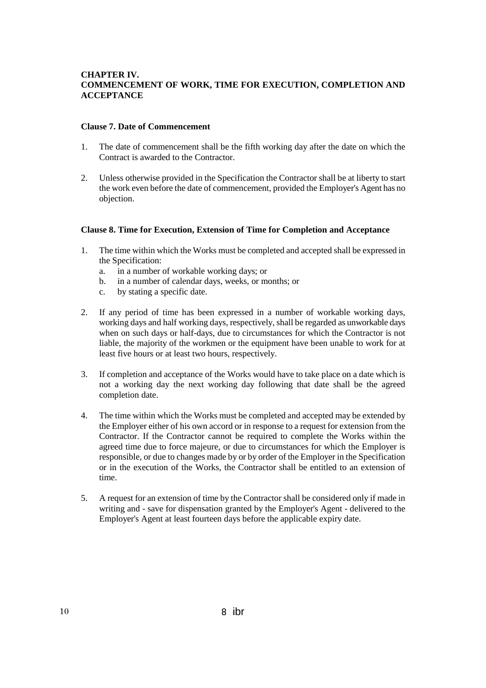## **CHAPTER IV. COMMENCEMENT OF WORK, TIME FOR EXECUTION, COMPLETION AND ACCEPTANCE**

#### **Clause 7. Date of Commencement**

- 1. The date of commencement shall be the fifth working day after the date on which the Contract is awarded to the Contractor.
- 2. Unless otherwise provided in the Specification the Contractor shall be at liberty to start the work even before the date of commencement, provided the Employer's Agent has no objection.

#### **Clause 8. Time for Execution, Extension of Time for Completion and Acceptance**

- 1. The time within which the Works must be completed and accepted shall be expressed in the Specification:
	- a. in a number of workable working days; or
	- b. in a number of calendar days, weeks, or months; or
	- c. by stating a specific date.
- 2. If any period of time has been expressed in a number of workable working days, working days and half working days, respectively, shall be regarded as unworkable days when on such days or half-days, due to circumstances for which the Contractor is not liable, the majority of the workmen or the equipment have been unable to work for at least five hours or at least two hours, respectively.
- 3. If completion and acceptance of the Works would have to take place on a date which is not a working day the next working day following that date shall be the agreed completion date.
- 4. The time within which the Works must be completed and accepted may be extended by the Employer either of his own accord or in response to a request for extension from the Contractor. If the Contractor cannot be required to complete the Works within the agreed time due to force majeure, or due to circumstances for which the Employer is responsible, or due to changes made by or by order of the Employer in the Specification or in the execution of the Works, the Contractor shall be entitled to an extension of time.
- 5. A request for an extension of time by the Contractor shall be considered only if made in writing and - save for dispensation granted by the Employer's Agent - delivered to the Employer's Agent at least fourteen days before the applicable expiry date.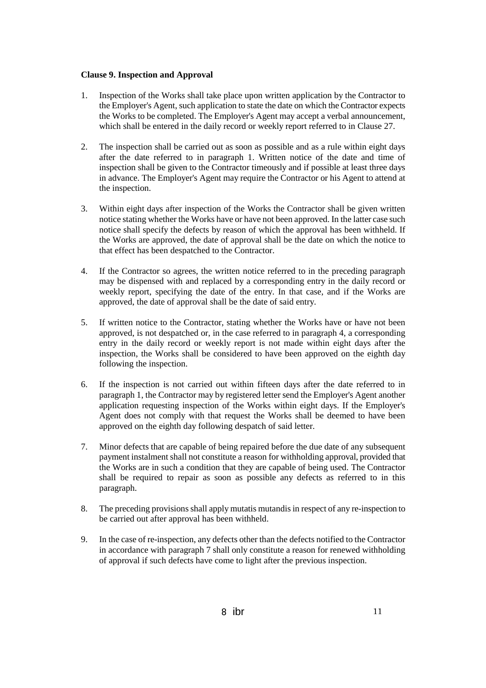#### **Clause 9. Inspection and Approval**

- 1. Inspection of the Works shall take place upon written application by the Contractor to the Employer's Agent, such application to state the date on which the Contractor expects the Works to be completed. The Employer's Agent may accept a verbal announcement, which shall be entered in the daily record or weekly report referred to in Clause 27.
- 2. The inspection shall be carried out as soon as possible and as a rule within eight days after the date referred to in paragraph 1. Written notice of the date and time of inspection shall be given to the Contractor timeously and if possible at least three days in advance. The Employer's Agent may require the Contractor or his Agent to attend at the inspection.
- 3. Within eight days after inspection of the Works the Contractor shall be given written notice stating whether the Works have or have not been approved. In the latter case such notice shall specify the defects by reason of which the approval has been withheld. If the Works are approved, the date of approval shall be the date on which the notice to that effect has been despatched to the Contractor.
- 4. If the Contractor so agrees, the written notice referred to in the preceding paragraph may be dispensed with and replaced by a corresponding entry in the daily record or weekly report, specifying the date of the entry. In that case, and if the Works are approved, the date of approval shall be the date of said entry.
- 5. If written notice to the Contractor, stating whether the Works have or have not been approved, is not despatched or, in the case referred to in paragraph 4, a corresponding entry in the daily record or weekly report is not made within eight days after the inspection, the Works shall be considered to have been approved on the eighth day following the inspection.
- 6. If the inspection is not carried out within fifteen days after the date referred to in paragraph 1, the Contractor may by registered letter send the Employer's Agent another application requesting inspection of the Works within eight days. If the Employer's Agent does not comply with that request the Works shall be deemed to have been approved on the eighth day following despatch of said letter.
- 7. Minor defects that are capable of being repaired before the due date of any subsequent payment instalment shall not constitute a reason for withholding approval, provided that the Works are in such a condition that they are capable of being used. The Contractor shall be required to repair as soon as possible any defects as referred to in this paragraph.
- 8. The preceding provisions shall apply mutatis mutandis in respect of any re-inspection to be carried out after approval has been withheld.
- 9. In the case of re-inspection, any defects other than the defects notified to the Contractor in accordance with paragraph 7 shall only constitute a reason for renewed withholding of approval if such defects have come to light after the previous inspection.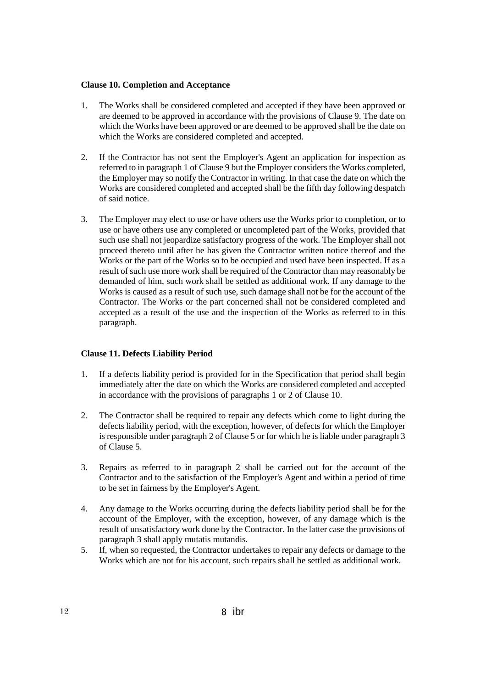#### **Clause 10. Completion and Acceptance**

- 1. The Works shall be considered completed and accepted if they have been approved or are deemed to be approved in accordance with the provisions of Clause 9. The date on which the Works have been approved or are deemed to be approved shall be the date on which the Works are considered completed and accepted.
- 2. If the Contractor has not sent the Employer's Agent an application for inspection as referred to in paragraph 1 of Clause 9 but the Employer considers the Works completed, the Employer may so notify the Contractor in writing. In that case the date on which the Works are considered completed and accepted shall be the fifth day following despatch of said notice.
- 3. The Employer may elect to use or have others use the Works prior to completion, or to use or have others use any completed or uncompleted part of the Works, provided that such use shall not jeopardize satisfactory progress of the work. The Employer shall not proceed thereto until after he has given the Contractor written notice thereof and the Works or the part of the Works so to be occupied and used have been inspected. If as a result of such use more work shall be required of the Contractor than may reasonably be demanded of him, such work shall be settled as additional work. If any damage to the Works is caused as a result of such use, such damage shall not be for the account of the Contractor. The Works or the part concerned shall not be considered completed and accepted as a result of the use and the inspection of the Works as referred to in this paragraph.

## **Clause 11. Defects Liability Period**

- 1. If a defects liability period is provided for in the Specification that period shall begin immediately after the date on which the Works are considered completed and accepted in accordance with the provisions of paragraphs 1 or 2 of Clause 10.
- 2. The Contractor shall be required to repair any defects which come to light during the defects liability period, with the exception, however, of defects for which the Employer is responsible under paragraph 2 of Clause 5 or for which he is liable under paragraph 3 of Clause 5.
- 3. Repairs as referred to in paragraph 2 shall be carried out for the account of the Contractor and to the satisfaction of the Employer's Agent and within a period of time to be set in fairness by the Employer's Agent.
- 4. Any damage to the Works occurring during the defects liability period shall be for the account of the Employer, with the exception, however, of any damage which is the result of unsatisfactory work done by the Contractor. In the latter case the provisions of paragraph 3 shall apply mutatis mutandis.
- 5. If, when so requested, the Contractor undertakes to repair any defects or damage to the Works which are not for his account, such repairs shall be settled as additional work.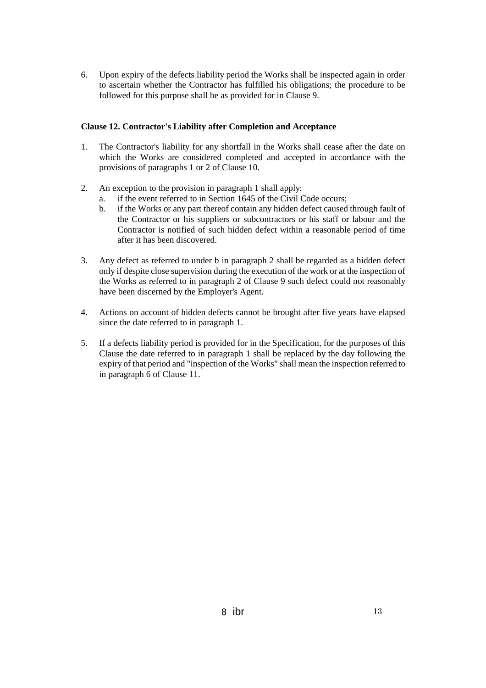6. Upon expiry of the defects liability period the Works shall be inspected again in order to ascertain whether the Contractor has fulfilled his obligations; the procedure to be followed for this purpose shall be as provided for in Clause 9.

## **Clause 12. Contractor's Liability after Completion and Acceptance**

- 1. The Contractor's liability for any shortfall in the Works shall cease after the date on which the Works are considered completed and accepted in accordance with the provisions of paragraphs 1 or 2 of Clause 10.
- 2. An exception to the provision in paragraph 1 shall apply:
	- a. if the event referred to in Section 1645 of the Civil Code occurs;
	- b. if the Works or any part thereof contain any hidden defect caused through fault of the Contractor or his suppliers or subcontractors or his staff or labour and the Contractor is notified of such hidden defect within a reasonable period of time after it has been discovered.
- 3. Any defect as referred to under b in paragraph 2 shall be regarded as a hidden defect only if despite close supervision during the execution of the work or at the inspection of the Works as referred to in paragraph 2 of Clause 9 such defect could not reasonably have been discerned by the Employer's Agent.
- 4. Actions on account of hidden defects cannot be brought after five years have elapsed since the date referred to in paragraph 1.
- 5. If a defects liability period is provided for in the Specification, for the purposes of this Clause the date referred to in paragraph 1 shall be replaced by the day following the expiry of that period and "inspection of the Works" shall mean the inspection referred to in paragraph 6 of Clause 11.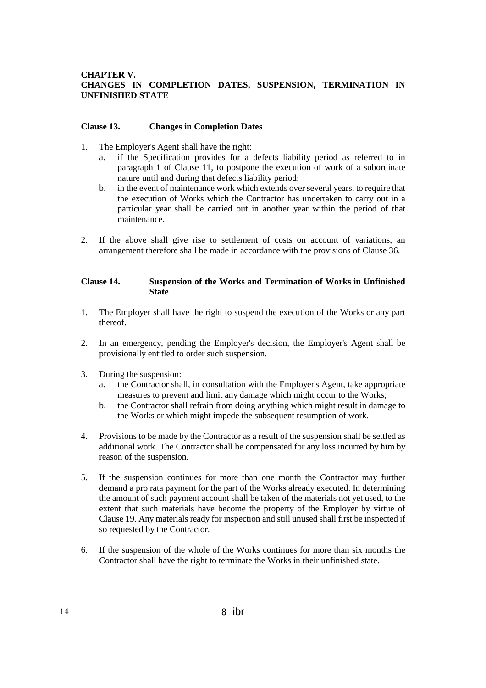## **CHAPTER V. CHANGES IN COMPLETION DATES, SUSPENSION, TERMINATION IN UNFINISHED STATE**

#### **Clause 13. Changes in Completion Dates**

- 1. The Employer's Agent shall have the right:
	- a. if the Specification provides for a defects liability period as referred to in paragraph 1 of Clause 11, to postpone the execution of work of a subordinate nature until and during that defects liability period;
	- b. in the event of maintenance work which extends over several years, to require that the execution of Works which the Contractor has undertaken to carry out in a particular year shall be carried out in another year within the period of that maintenance.
- 2. If the above shall give rise to settlement of costs on account of variations, an arrangement therefore shall be made in accordance with the provisions of Clause 36.

#### **Clause 14. Suspension of the Works and Termination of Works in Unfinished State**

- 1. The Employer shall have the right to suspend the execution of the Works or any part thereof.
- 2. In an emergency, pending the Employer's decision, the Employer's Agent shall be provisionally entitled to order such suspension.
- 3. During the suspension:
	- a. the Contractor shall, in consultation with the Employer's Agent, take appropriate measures to prevent and limit any damage which might occur to the Works;
	- b. the Contractor shall refrain from doing anything which might result in damage to the Works or which might impede the subsequent resumption of work.
- 4. Provisions to be made by the Contractor as a result of the suspension shall be settled as additional work. The Contractor shall be compensated for any loss incurred by him by reason of the suspension.
- 5. If the suspension continues for more than one month the Contractor may further demand a pro rata payment for the part of the Works already executed. In determining the amount of such payment account shall be taken of the materials not yet used, to the extent that such materials have become the property of the Employer by virtue of Clause 19. Any materials ready for inspection and still unused shall first be inspected if so requested by the Contractor.
- 6. If the suspension of the whole of the Works continues for more than six months the Contractor shall have the right to terminate the Works in their unfinished state.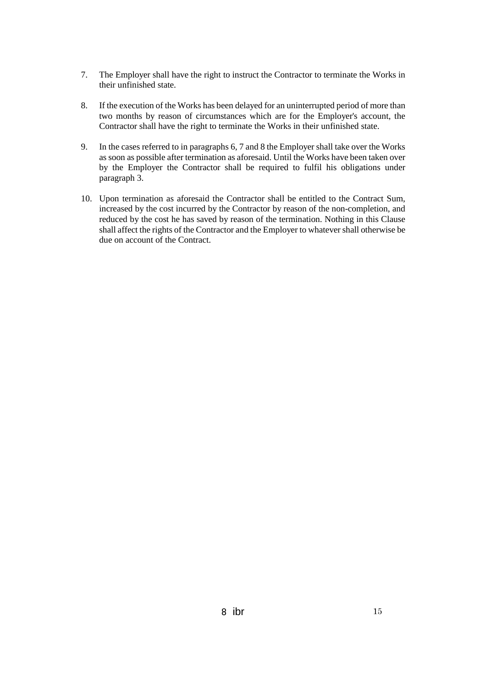- 7. The Employer shall have the right to instruct the Contractor to terminate the Works in their unfinished state.
- 8. If the execution of the Works has been delayed for an uninterrupted period of more than two months by reason of circumstances which are for the Employer's account, the Contractor shall have the right to terminate the Works in their unfinished state.
- 9. In the cases referred to in paragraphs 6, 7 and 8 the Employer shall take over the Works as soon as possible after termination as aforesaid. Until the Works have been taken over by the Employer the Contractor shall be required to fulfil his obligations under paragraph 3.
- 10. Upon termination as aforesaid the Contractor shall be entitled to the Contract Sum, increased by the cost incurred by the Contractor by reason of the non-completion, and reduced by the cost he has saved by reason of the termination. Nothing in this Clause shall affect the rights of the Contractor and the Employer to whatever shall otherwise be due on account of the Contract.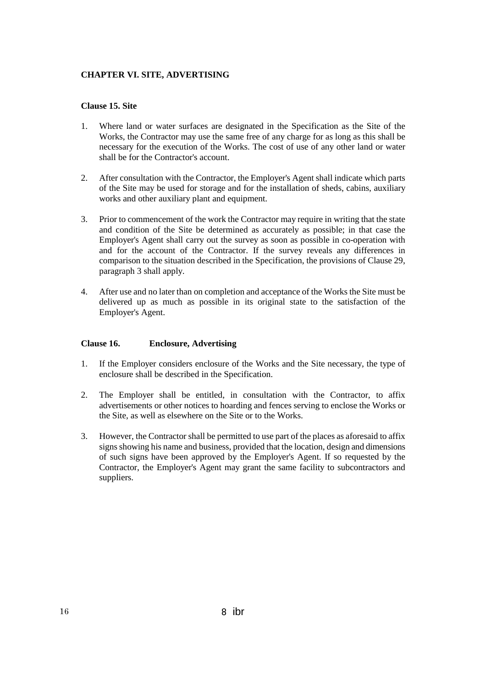#### **CHAPTER VI. SITE, ADVERTISING**

## **Clause 15. Site**

- 1. Where land or water surfaces are designated in the Specification as the Site of the Works, the Contractor may use the same free of any charge for as long as this shall be necessary for the execution of the Works. The cost of use of any other land or water shall be for the Contractor's account.
- 2. After consultation with the Contractor, the Employer's Agent shall indicate which parts of the Site may be used for storage and for the installation of sheds, cabins, auxiliary works and other auxiliary plant and equipment.
- 3. Prior to commencement of the work the Contractor may require in writing that the state and condition of the Site be determined as accurately as possible; in that case the Employer's Agent shall carry out the survey as soon as possible in co-operation with and for the account of the Contractor. If the survey reveals any differences in comparison to the situation described in the Specification, the provisions of Clause 29, paragraph 3 shall apply.
- 4. After use and no later than on completion and acceptance of the Works the Site must be delivered up as much as possible in its original state to the satisfaction of the Employer's Agent.

#### **Clause 16. Enclosure, Advertising**

- 1. If the Employer considers enclosure of the Works and the Site necessary, the type of enclosure shall be described in the Specification.
- 2. The Employer shall be entitled, in consultation with the Contractor, to affix advertisements or other notices to hoarding and fences serving to enclose the Works or the Site, as well as elsewhere on the Site or to the Works.
- 3. However, the Contractor shall be permitted to use part of the places as aforesaid to affix signs showing his name and business, provided that the location, design and dimensions of such signs have been approved by the Employer's Agent. If so requested by the Contractor, the Employer's Agent may grant the same facility to subcontractors and suppliers.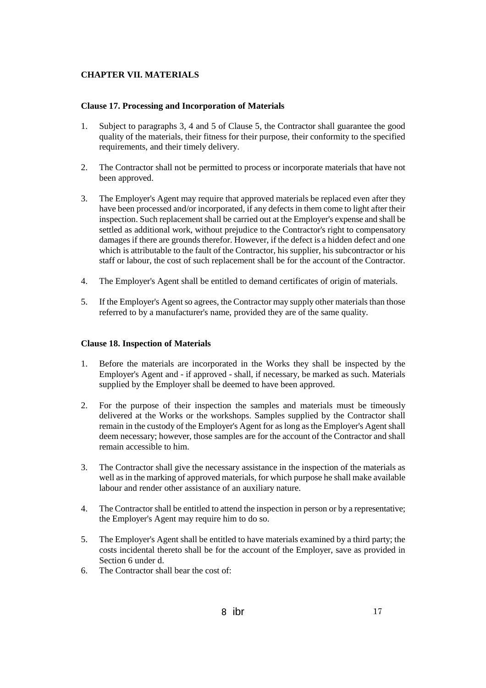## **CHAPTER VII. MATERIALS**

#### **Clause 17. Processing and Incorporation of Materials**

- 1. Subject to paragraphs 3, 4 and 5 of Clause 5, the Contractor shall guarantee the good quality of the materials, their fitness for their purpose, their conformity to the specified requirements, and their timely delivery.
- 2. The Contractor shall not be permitted to process or incorporate materials that have not been approved.
- 3. The Employer's Agent may require that approved materials be replaced even after they have been processed and/or incorporated, if any defects in them come to light after their inspection. Such replacement shall be carried out at the Employer's expense and shall be settled as additional work, without prejudice to the Contractor's right to compensatory damages if there are grounds therefor. However, if the defect is a hidden defect and one which is attributable to the fault of the Contractor, his supplier, his subcontractor or his staff or labour, the cost of such replacement shall be for the account of the Contractor.
- 4. The Employer's Agent shall be entitled to demand certificates of origin of materials.
- 5. If the Employer's Agent so agrees, the Contractor may supply other materials than those referred to by a manufacturer's name, provided they are of the same quality.

#### **Clause 18. Inspection of Materials**

- 1. Before the materials are incorporated in the Works they shall be inspected by the Employer's Agent and - if approved - shall, if necessary, be marked as such. Materials supplied by the Employer shall be deemed to have been approved.
- 2. For the purpose of their inspection the samples and materials must be timeously delivered at the Works or the workshops. Samples supplied by the Contractor shall remain in the custody of the Employer's Agent for as long as the Employer's Agent shall deem necessary; however, those samples are for the account of the Contractor and shall remain accessible to him.
- 3. The Contractor shall give the necessary assistance in the inspection of the materials as well as in the marking of approved materials, for which purpose he shall make available labour and render other assistance of an auxiliary nature.
- 4. The Contractor shall be entitled to attend the inspection in person or by a representative; the Employer's Agent may require him to do so.
- 5. The Employer's Agent shall be entitled to have materials examined by a third party; the costs incidental thereto shall be for the account of the Employer, save as provided in Section 6 under d.
- 6. The Contractor shall bear the cost of: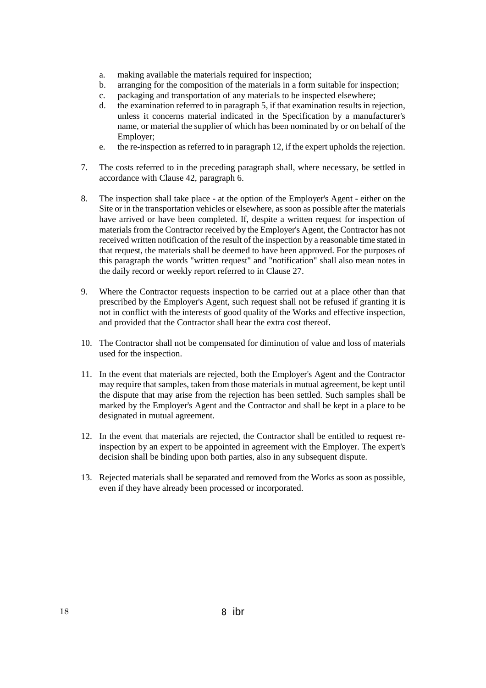- a. making available the materials required for inspection;
- b. arranging for the composition of the materials in a form suitable for inspection;
- c. packaging and transportation of any materials to be inspected elsewhere;
- d. the examination referred to in paragraph 5, if that examination results in rejection, unless it concerns material indicated in the Specification by a manufacturer's name, or material the supplier of which has been nominated by or on behalf of the Employer;
- e. the re-inspection as referred to in paragraph 12, if the expert upholds the rejection.
- 7. The costs referred to in the preceding paragraph shall, where necessary, be settled in accordance with Clause 42, paragraph 6.
- 8. The inspection shall take place at the option of the Employer's Agent either on the Site or in the transportation vehicles or elsewhere, as soon as possible after the materials have arrived or have been completed. If, despite a written request for inspection of materials from the Contractor received by the Employer's Agent, the Contractor has not received written notification of the result of the inspection by a reasonable time stated in that request, the materials shall be deemed to have been approved. For the purposes of this paragraph the words "written request" and "notification" shall also mean notes in the daily record or weekly report referred to in Clause 27.
- 9. Where the Contractor requests inspection to be carried out at a place other than that prescribed by the Employer's Agent, such request shall not be refused if granting it is not in conflict with the interests of good quality of the Works and effective inspection, and provided that the Contractor shall bear the extra cost thereof.
- 10. The Contractor shall not be compensated for diminution of value and loss of materials used for the inspection.
- 11. In the event that materials are rejected, both the Employer's Agent and the Contractor may require that samples, taken from those materials in mutual agreement, be kept until the dispute that may arise from the rejection has been settled. Such samples shall be marked by the Employer's Agent and the Contractor and shall be kept in a place to be designated in mutual agreement.
- 12. In the event that materials are rejected, the Contractor shall be entitled to request reinspection by an expert to be appointed in agreement with the Employer. The expert's decision shall be binding upon both parties, also in any subsequent dispute.
- 13. Rejected materials shall be separated and removed from the Works as soon as possible, even if they have already been processed or incorporated.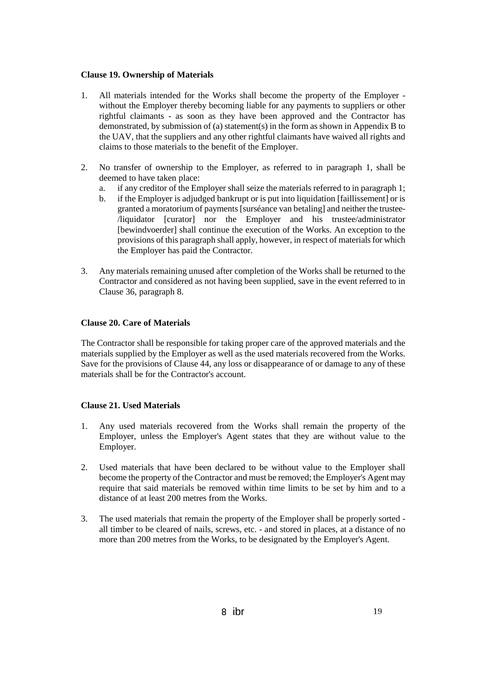#### **Clause 19. Ownership of Materials**

- 1. All materials intended for the Works shall become the property of the Employer without the Employer thereby becoming liable for any payments to suppliers or other rightful claimants - as soon as they have been approved and the Contractor has demonstrated, by submission of (a) statement(s) in the form as shown in Appendix B to the UAV, that the suppliers and any other rightful claimants have waived all rights and claims to those materials to the benefit of the Employer.
- 2. No transfer of ownership to the Employer, as referred to in paragraph 1, shall be deemed to have taken place:
	- a. if any creditor of the Employer shall seize the materials referred to in paragraph 1;
	- b. if the Employer is adjudged bankrupt or is put into liquidation [faillissement] or is granted a moratorium of payments [surséance van betaling] and neither the trustee- /liquidator [curator] nor the Employer and his trustee/administrator [bewindvoerder] shall continue the execution of the Works. An exception to the provisions of this paragraph shall apply, however, in respect of materials for which the Employer has paid the Contractor.
- 3. Any materials remaining unused after completion of the Works shall be returned to the Contractor and considered as not having been supplied, save in the event referred to in Clause 36, paragraph 8.

## **Clause 20. Care of Materials**

The Contractor shall be responsible for taking proper care of the approved materials and the materials supplied by the Employer as well as the used materials recovered from the Works. Save for the provisions of Clause 44, any loss or disappearance of or damage to any of these materials shall be for the Contractor's account.

#### **Clause 21. Used Materials**

- 1. Any used materials recovered from the Works shall remain the property of the Employer, unless the Employer's Agent states that they are without value to the Employer.
- 2. Used materials that have been declared to be without value to the Employer shall become the property of the Contractor and must be removed; the Employer's Agent may require that said materials be removed within time limits to be set by him and to a distance of at least 200 metres from the Works.
- 3. The used materials that remain the property of the Employer shall be properly sorted all timber to be cleared of nails, screws, etc. - and stored in places, at a distance of no more than 200 metres from the Works, to be designated by the Employer's Agent.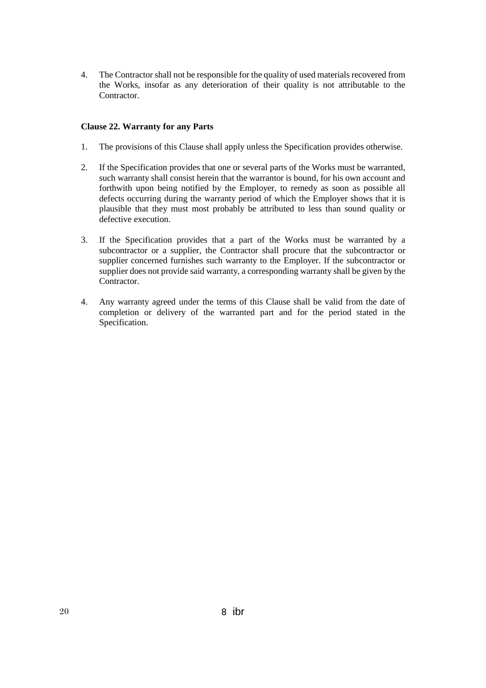4. The Contractor shall not be responsible for the quality of used materials recovered from the Works, insofar as any deterioration of their quality is not attributable to the Contractor.

## **Clause 22. Warranty for any Parts**

- 1. The provisions of this Clause shall apply unless the Specification provides otherwise.
- 2. If the Specification provides that one or several parts of the Works must be warranted, such warranty shall consist herein that the warrantor is bound, for his own account and forthwith upon being notified by the Employer, to remedy as soon as possible all defects occurring during the warranty period of which the Employer shows that it is plausible that they must most probably be attributed to less than sound quality or defective execution.
- 3. If the Specification provides that a part of the Works must be warranted by a subcontractor or a supplier, the Contractor shall procure that the subcontractor or supplier concerned furnishes such warranty to the Employer. If the subcontractor or supplier does not provide said warranty, a corresponding warranty shall be given by the Contractor.
- 4. Any warranty agreed under the terms of this Clause shall be valid from the date of completion or delivery of the warranted part and for the period stated in the Specification.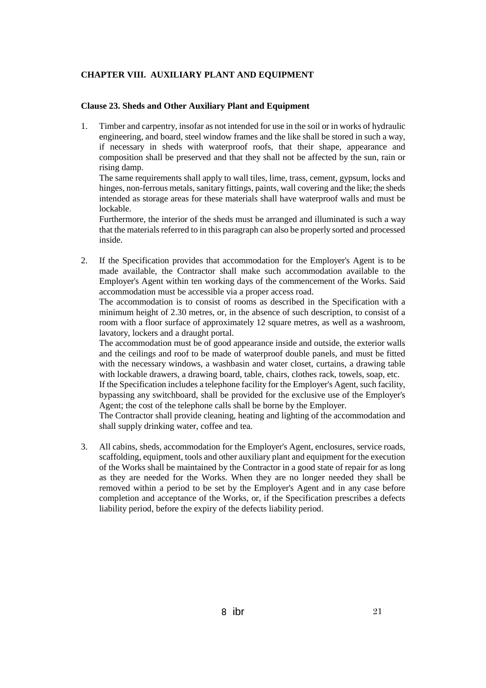## **CHAPTER VIII. AUXILIARY PLANT AND EQUIPMENT**

#### **Clause 23. Sheds and Other Auxiliary Plant and Equipment**

1. Timber and carpentry, insofar as not intended for use in the soil or in works of hydraulic engineering, and board, steel window frames and the like shall be stored in such a way, if necessary in sheds with waterproof roofs, that their shape, appearance and composition shall be preserved and that they shall not be affected by the sun, rain or rising damp.

The same requirements shall apply to wall tiles, lime, trass, cement, gypsum, locks and hinges, non-ferrous metals, sanitary fittings, paints, wall covering and the like; the sheds intended as storage areas for these materials shall have waterproof walls and must be lockable.

Furthermore, the interior of the sheds must be arranged and illuminated is such a way that the materials referred to in this paragraph can also be properly sorted and processed inside.

2. If the Specification provides that accommodation for the Employer's Agent is to be made available, the Contractor shall make such accommodation available to the Employer's Agent within ten working days of the commencement of the Works. Said accommodation must be accessible via a proper access road.

The accommodation is to consist of rooms as described in the Specification with a minimum height of 2.30 metres, or, in the absence of such description, to consist of a room with a floor surface of approximately 12 square metres, as well as a washroom, lavatory, lockers and a draught portal.

The accommodation must be of good appearance inside and outside, the exterior walls and the ceilings and roof to be made of waterproof double panels, and must be fitted with the necessary windows, a washbasin and water closet, curtains, a drawing table with lockable drawers, a drawing board, table, chairs, clothes rack, towels, soap, etc.

If the Specification includes a telephone facility for the Employer's Agent, such facility, bypassing any switchboard, shall be provided for the exclusive use of the Employer's Agent; the cost of the telephone calls shall be borne by the Employer.

The Contractor shall provide cleaning, heating and lighting of the accommodation and shall supply drinking water, coffee and tea.

3. All cabins, sheds, accommodation for the Employer's Agent, enclosures, service roads, scaffolding, equipment, tools and other auxiliary plant and equipment for the execution of the Works shall be maintained by the Contractor in a good state of repair for as long as they are needed for the Works. When they are no longer needed they shall be removed within a period to be set by the Employer's Agent and in any case before completion and acceptance of the Works, or, if the Specification prescribes a defects liability period, before the expiry of the defects liability period.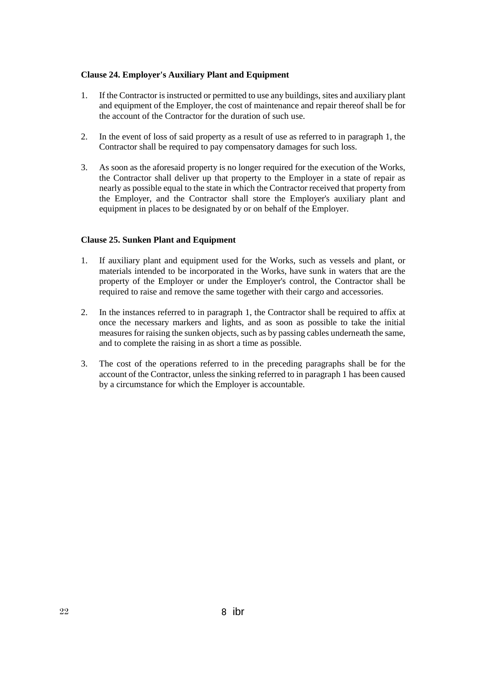### **Clause 24. Employer's Auxiliary Plant and Equipment**

- 1. If the Contractor is instructed or permitted to use any buildings, sites and auxiliary plant and equipment of the Employer, the cost of maintenance and repair thereof shall be for the account of the Contractor for the duration of such use.
- 2. In the event of loss of said property as a result of use as referred to in paragraph 1, the Contractor shall be required to pay compensatory damages for such loss.
- 3. As soon as the aforesaid property is no longer required for the execution of the Works, the Contractor shall deliver up that property to the Employer in a state of repair as nearly as possible equal to the state in which the Contractor received that property from the Employer, and the Contractor shall store the Employer's auxiliary plant and equipment in places to be designated by or on behalf of the Employer.

#### **Clause 25. Sunken Plant and Equipment**

- 1. If auxiliary plant and equipment used for the Works, such as vessels and plant, or materials intended to be incorporated in the Works, have sunk in waters that are the property of the Employer or under the Employer's control, the Contractor shall be required to raise and remove the same together with their cargo and accessories.
- 2. In the instances referred to in paragraph 1, the Contractor shall be required to affix at once the necessary markers and lights, and as soon as possible to take the initial measures for raising the sunken objects, such as by passing cables underneath the same, and to complete the raising in as short a time as possible.
- 3. The cost of the operations referred to in the preceding paragraphs shall be for the account of the Contractor, unless the sinking referred to in paragraph 1 has been caused by a circumstance for which the Employer is accountable.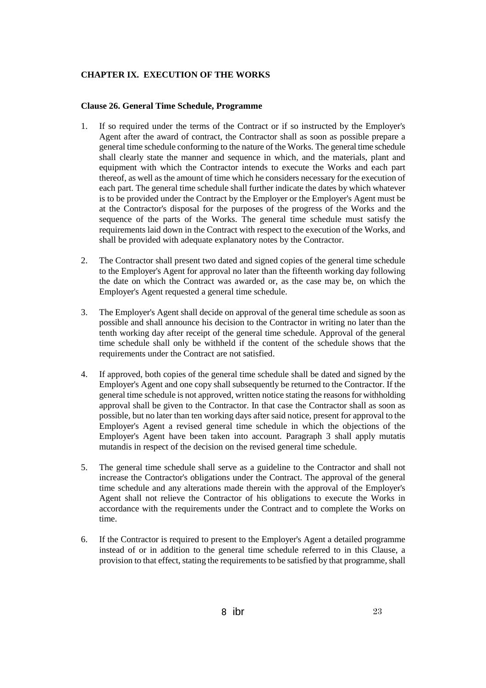## **CHAPTER IX. EXECUTION OF THE WORKS**

#### **Clause 26. General Time Schedule, Programme**

- 1. If so required under the terms of the Contract or if so instructed by the Employer's Agent after the award of contract, the Contractor shall as soon as possible prepare a general time schedule conforming to the nature of the Works. The general time schedule shall clearly state the manner and sequence in which, and the materials, plant and equipment with which the Contractor intends to execute the Works and each part thereof, as well as the amount of time which he considers necessary for the execution of each part. The general time schedule shall further indicate the dates by which whatever is to be provided under the Contract by the Employer or the Employer's Agent must be at the Contractor's disposal for the purposes of the progress of the Works and the sequence of the parts of the Works. The general time schedule must satisfy the requirements laid down in the Contract with respect to the execution of the Works, and shall be provided with adequate explanatory notes by the Contractor.
- 2. The Contractor shall present two dated and signed copies of the general time schedule to the Employer's Agent for approval no later than the fifteenth working day following the date on which the Contract was awarded or, as the case may be, on which the Employer's Agent requested a general time schedule.
- 3. The Employer's Agent shall decide on approval of the general time schedule as soon as possible and shall announce his decision to the Contractor in writing no later than the tenth working day after receipt of the general time schedule. Approval of the general time schedule shall only be withheld if the content of the schedule shows that the requirements under the Contract are not satisfied.
- 4. If approved, both copies of the general time schedule shall be dated and signed by the Employer's Agent and one copy shall subsequently be returned to the Contractor. If the general time schedule is not approved, written notice stating the reasons for withholding approval shall be given to the Contractor. In that case the Contractor shall as soon as possible, but no later than ten working days after said notice, present for approval to the Employer's Agent a revised general time schedule in which the objections of the Employer's Agent have been taken into account. Paragraph 3 shall apply mutatis mutandis in respect of the decision on the revised general time schedule.
- 5. The general time schedule shall serve as a guideline to the Contractor and shall not increase the Contractor's obligations under the Contract. The approval of the general time schedule and any alterations made therein with the approval of the Employer's Agent shall not relieve the Contractor of his obligations to execute the Works in accordance with the requirements under the Contract and to complete the Works on time.
- 6. If the Contractor is required to present to the Employer's Agent a detailed programme instead of or in addition to the general time schedule referred to in this Clause, a provision to that effect, stating the requirements to be satisfied by that programme, shall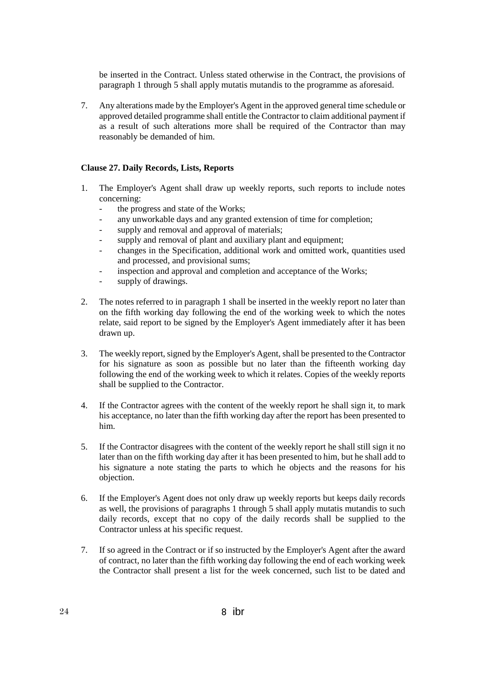be inserted in the Contract. Unless stated otherwise in the Contract, the provisions of paragraph 1 through 5 shall apply mutatis mutandis to the programme as aforesaid.

7. Any alterations made by the Employer's Agent in the approved general time schedule or approved detailed programme shall entitle the Contractor to claim additional payment if as a result of such alterations more shall be required of the Contractor than may reasonably be demanded of him.

#### **Clause 27. Daily Records, Lists, Reports**

- 1. The Employer's Agent shall draw up weekly reports, such reports to include notes concerning:
	- the progress and state of the Works;
	- any unworkable days and any granted extension of time for completion;
	- supply and removal and approval of materials;
	- supply and removal of plant and auxiliary plant and equipment;
	- changes in the Specification, additional work and omitted work, quantities used and processed, and provisional sums;
	- inspection and approval and completion and acceptance of the Works;
	- supply of drawings.
- 2. The notes referred to in paragraph 1 shall be inserted in the weekly report no later than on the fifth working day following the end of the working week to which the notes relate, said report to be signed by the Employer's Agent immediately after it has been drawn up.
- 3. The weekly report, signed by the Employer's Agent, shall be presented to the Contractor for his signature as soon as possible but no later than the fifteenth working day following the end of the working week to which it relates. Copies of the weekly reports shall be supplied to the Contractor.
- 4. If the Contractor agrees with the content of the weekly report he shall sign it, to mark his acceptance, no later than the fifth working day after the report has been presented to him.
- 5. If the Contractor disagrees with the content of the weekly report he shall still sign it no later than on the fifth working day after it has been presented to him, but he shall add to his signature a note stating the parts to which he objects and the reasons for his objection.
- 6. If the Employer's Agent does not only draw up weekly reports but keeps daily records as well, the provisions of paragraphs 1 through 5 shall apply mutatis mutandis to such daily records, except that no copy of the daily records shall be supplied to the Contractor unless at his specific request.
- 7. If so agreed in the Contract or if so instructed by the Employer's Agent after the award of contract, no later than the fifth working day following the end of each working week the Contractor shall present a list for the week concerned, such list to be dated and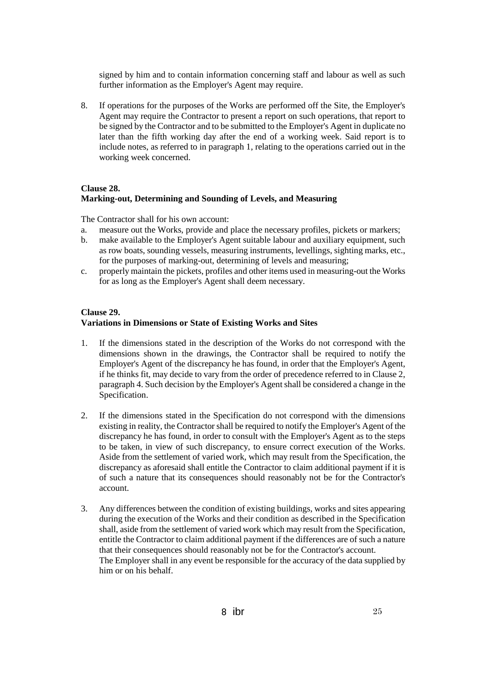signed by him and to contain information concerning staff and labour as well as such further information as the Employer's Agent may require.

8. If operations for the purposes of the Works are performed off the Site, the Employer's Agent may require the Contractor to present a report on such operations, that report to be signed by the Contractor and to be submitted to the Employer's Agent in duplicate no later than the fifth working day after the end of a working week. Said report is to include notes, as referred to in paragraph 1, relating to the operations carried out in the working week concerned.

#### **Clause 28.**

## **Marking-out, Determining and Sounding of Levels, and Measuring**

The Contractor shall for his own account:

- a. measure out the Works, provide and place the necessary profiles, pickets or markers;
- b. make available to the Employer's Agent suitable labour and auxiliary equipment, such as row boats, sounding vessels, measuring instruments, levellings, sighting marks, etc., for the purposes of marking-out, determining of levels and measuring;
- c. properly maintain the pickets, profiles and other items used in measuring-out the Works for as long as the Employer's Agent shall deem necessary.

#### **Clause 29.**

#### **Variations in Dimensions or State of Existing Works and Sites**

- 1. If the dimensions stated in the description of the Works do not correspond with the dimensions shown in the drawings, the Contractor shall be required to notify the Employer's Agent of the discrepancy he has found, in order that the Employer's Agent, if he thinks fit, may decide to vary from the order of precedence referred to in Clause 2, paragraph 4. Such decision by the Employer's Agent shall be considered a change in the Specification.
- 2. If the dimensions stated in the Specification do not correspond with the dimensions existing in reality, the Contractor shall be required to notify the Employer's Agent of the discrepancy he has found, in order to consult with the Employer's Agent as to the steps to be taken, in view of such discrepancy, to ensure correct execution of the Works. Aside from the settlement of varied work, which may result from the Specification, the discrepancy as aforesaid shall entitle the Contractor to claim additional payment if it is of such a nature that its consequences should reasonably not be for the Contractor's account.
- 3. Any differences between the condition of existing buildings, works and sites appearing during the execution of the Works and their condition as described in the Specification shall, aside from the settlement of varied work which may result from the Specification, entitle the Contractor to claim additional payment if the differences are of such a nature that their consequences should reasonably not be for the Contractor's account. The Employer shall in any event be responsible for the accuracy of the data supplied by him or on his behalf.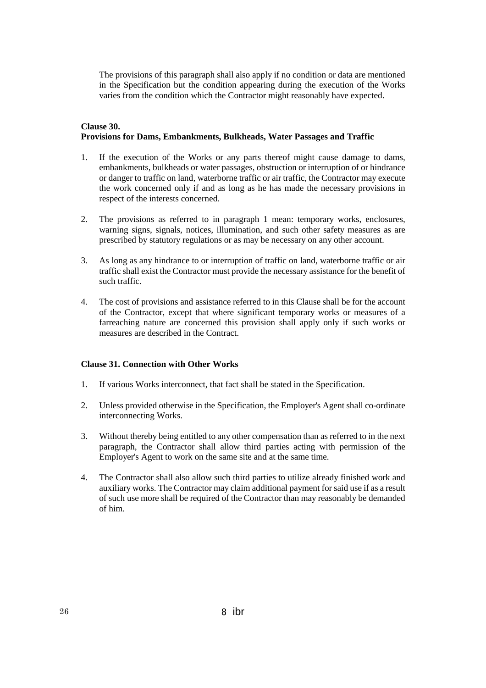The provisions of this paragraph shall also apply if no condition or data are mentioned in the Specification but the condition appearing during the execution of the Works varies from the condition which the Contractor might reasonably have expected.

## **Clause 30. Provisions for Dams, Embankments, Bulkheads, Water Passages and Traffic**

- 1. If the execution of the Works or any parts thereof might cause damage to dams, embankments, bulkheads or water passages, obstruction or interruption of or hindrance or danger to traffic on land, waterborne traffic or air traffic, the Contractor may execute the work concerned only if and as long as he has made the necessary provisions in respect of the interests concerned.
- 2. The provisions as referred to in paragraph 1 mean: temporary works, enclosures, warning signs, signals, notices, illumination, and such other safety measures as are prescribed by statutory regulations or as may be necessary on any other account.
- 3. As long as any hindrance to or interruption of traffic on land, waterborne traffic or air traffic shall exist the Contractor must provide the necessary assistance for the benefit of such traffic.
- 4. The cost of provisions and assistance referred to in this Clause shall be for the account of the Contractor, except that where significant temporary works or measures of a farreaching nature are concerned this provision shall apply only if such works or measures are described in the Contract.

#### **Clause 31. Connection with Other Works**

- 1. If various Works interconnect, that fact shall be stated in the Specification.
- 2. Unless provided otherwise in the Specification, the Employer's Agent shall co-ordinate interconnecting Works.
- 3. Without thereby being entitled to any other compensation than as referred to in the next paragraph, the Contractor shall allow third parties acting with permission of the Employer's Agent to work on the same site and at the same time.
- 4. The Contractor shall also allow such third parties to utilize already finished work and auxiliary works. The Contractor may claim additional payment for said use if as a result of such use more shall be required of the Contractor than may reasonably be demanded of him.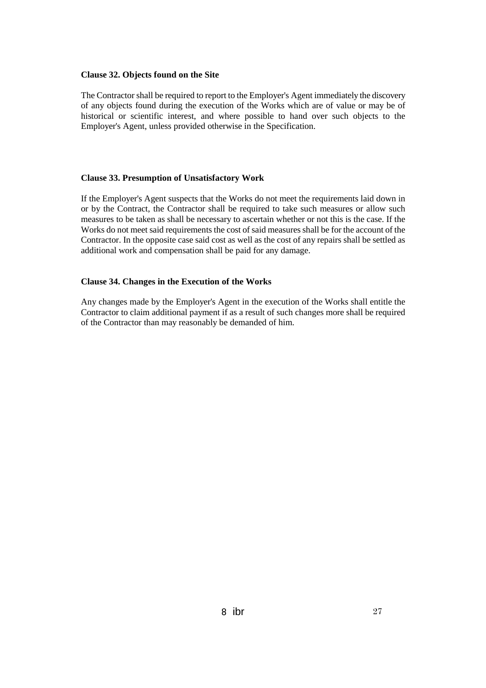#### **Clause 32. Objects found on the Site**

The Contractor shall be required to report to the Employer's Agent immediately the discovery of any objects found during the execution of the Works which are of value or may be of historical or scientific interest, and where possible to hand over such objects to the Employer's Agent, unless provided otherwise in the Specification.

#### **Clause 33. Presumption of Unsatisfactory Work**

If the Employer's Agent suspects that the Works do not meet the requirements laid down in or by the Contract, the Contractor shall be required to take such measures or allow such measures to be taken as shall be necessary to ascertain whether or not this is the case. If the Works do not meet said requirements the cost of said measures shall be for the account of the Contractor. In the opposite case said cost as well as the cost of any repairs shall be settled as additional work and compensation shall be paid for any damage.

#### **Clause 34. Changes in the Execution of the Works**

Any changes made by the Employer's Agent in the execution of the Works shall entitle the Contractor to claim additional payment if as a result of such changes more shall be required of the Contractor than may reasonably be demanded of him.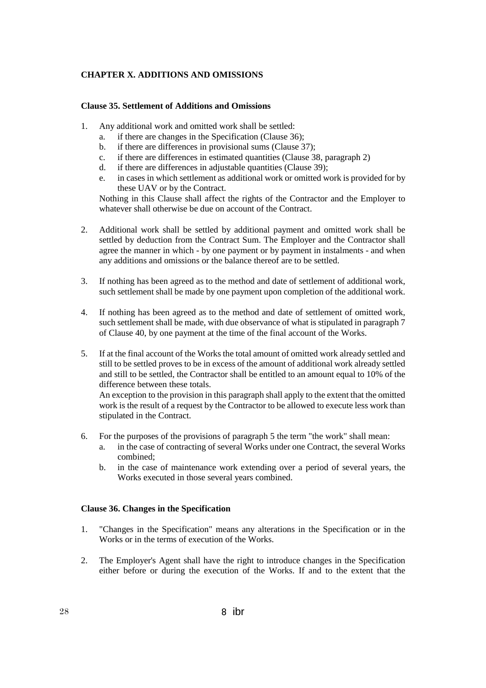### **CHAPTER X. ADDITIONS AND OMISSIONS**

#### **Clause 35. Settlement of Additions and Omissions**

- 1. Any additional work and omitted work shall be settled:
	- a. if there are changes in the Specification (Clause 36);
	- b. if there are differences in provisional sums (Clause 37);
	- c. if there are differences in estimated quantities (Clause 38, paragraph 2)
	- d. if there are differences in adjustable quantities (Clause 39);
	- e. in cases in which settlement as additional work or omitted work is provided for by these UAV or by the Contract.

Nothing in this Clause shall affect the rights of the Contractor and the Employer to whatever shall otherwise be due on account of the Contract.

- 2. Additional work shall be settled by additional payment and omitted work shall be settled by deduction from the Contract Sum. The Employer and the Contractor shall agree the manner in which - by one payment or by payment in instalments - and when any additions and omissions or the balance thereof are to be settled.
- 3. If nothing has been agreed as to the method and date of settlement of additional work, such settlement shall be made by one payment upon completion of the additional work.
- 4. If nothing has been agreed as to the method and date of settlement of omitted work, such settlement shall be made, with due observance of what is stipulated in paragraph 7 of Clause 40, by one payment at the time of the final account of the Works.
- 5. If at the final account of the Works the total amount of omitted work already settled and still to be settled proves to be in excess of the amount of additional work already settled and still to be settled, the Contractor shall be entitled to an amount equal to 10% of the difference between these totals.

An exception to the provision in this paragraph shall apply to the extent that the omitted work is the result of a request by the Contractor to be allowed to execute less work than stipulated in the Contract.

- 6. For the purposes of the provisions of paragraph 5 the term "the work" shall mean:
	- a. in the case of contracting of several Works under one Contract, the several Works combined;
	- b. in the case of maintenance work extending over a period of several years, the Works executed in those several years combined.

#### **Clause 36. Changes in the Specification**

- 1. "Changes in the Specification" means any alterations in the Specification or in the Works or in the terms of execution of the Works.
- 2. The Employer's Agent shall have the right to introduce changes in the Specification either before or during the execution of the Works. If and to the extent that the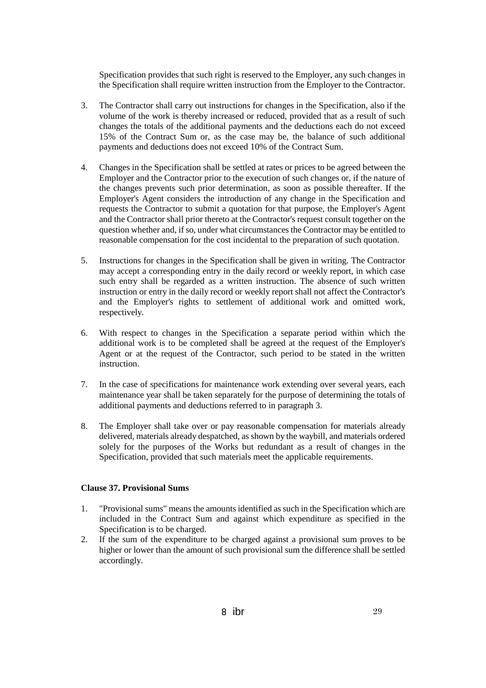Specification provides that such right is reserved to the Employer, any such changes in the Specification shall require written instruction from the Employer to the Contractor.

- 3. The Contractor shall carry out instructions for changes in the Specification, also if the volume of the work is thereby increased or reduced, provided that as a result of such changes the totals of the additional payments and the deductions each do not exceed 15% of the Contract Sum or, as the case may be, the balance of such additional payments and deductions does not exceed 10% of the Contract Sum.
- 4. Changes in the Specification shall be settled at rates or prices to be agreed between the Employer and the Contractor prior to the execution of such changes or, if the nature of the changes prevents such prior determination, as soon as possible thereafter. If the Employer's Agent considers the introduction of any change in the Specification and requests the Contractor to submit a quotation for that purpose, the Employer's Agent and the Contractor shall prior thereto at the Contractor's request consult together on the question whether and, if so, under what circumstances the Contractor may be entitled to reasonable compensation for the cost incidental to the preparation of such quotation.
- 5. Instructions for changes in the Specification shall be given in writing. The Contractor may accept a corresponding entry in the daily record or weekly report, in which case such entry shall be regarded as a written instruction. The absence of such written instruction or entry in the daily record or weekly report shall not affect the Contractor's and the Employer's rights to settlement of additional work and omitted work, respectively.
- 6. With respect to changes in the Specification a separate period within which the additional work is to be completed shall be agreed at the request of the Employer's Agent or at the request of the Contractor, such period to be stated in the written instruction.
- 7. In the case of specifications for maintenance work extending over several years, each maintenance year shall be taken separately for the purpose of determining the totals of additional payments and deductions referred to in paragraph 3.
- 8. The Employer shall take over or pay reasonable compensation for materials already delivered, materials already despatched, as shown by the waybill, and materials ordered solely for the purposes of the Works but redundant as a result of changes in the Specification, provided that such materials meet the applicable requirements.

#### **Clause 37. Provisional Sums**

- 1. "Provisional sums" means the amounts identified as such in the Specification which are included in the Contract Sum and against which expenditure as specified in the Specification is to be charged.
- 2. If the sum of the expenditure to be charged against a provisional sum proves to be higher or lower than the amount of such provisional sum the difference shall be settled accordingly.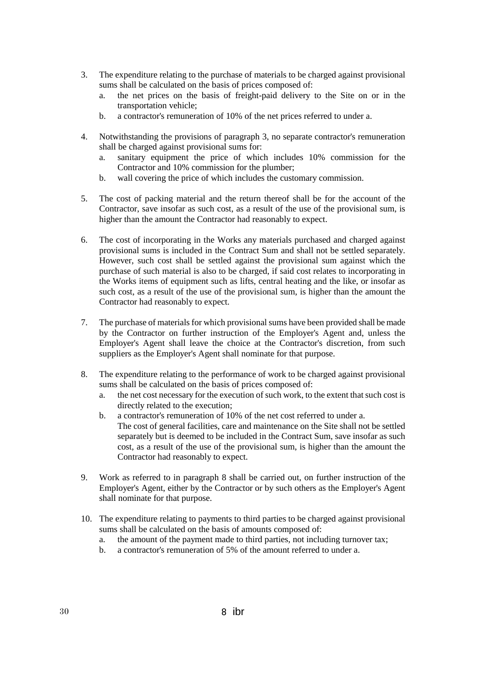- 3. The expenditure relating to the purchase of materials to be charged against provisional sums shall be calculated on the basis of prices composed of:
	- a. the net prices on the basis of freight-paid delivery to the Site on or in the transportation vehicle;
	- b. a contractor's remuneration of 10% of the net prices referred to under a.
- 4. Notwithstanding the provisions of paragraph 3, no separate contractor's remuneration shall be charged against provisional sums for:
	- a. sanitary equipment the price of which includes 10% commission for the Contractor and 10% commission for the plumber;
	- b. wall covering the price of which includes the customary commission.
- 5. The cost of packing material and the return thereof shall be for the account of the Contractor, save insofar as such cost, as a result of the use of the provisional sum, is higher than the amount the Contractor had reasonably to expect.
- 6. The cost of incorporating in the Works any materials purchased and charged against provisional sums is included in the Contract Sum and shall not be settled separately. However, such cost shall be settled against the provisional sum against which the purchase of such material is also to be charged, if said cost relates to incorporating in the Works items of equipment such as lifts, central heating and the like, or insofar as such cost, as a result of the use of the provisional sum, is higher than the amount the Contractor had reasonably to expect.
- 7. The purchase of materials for which provisional sums have been provided shall be made by the Contractor on further instruction of the Employer's Agent and, unless the Employer's Agent shall leave the choice at the Contractor's discretion, from such suppliers as the Employer's Agent shall nominate for that purpose.
- 8. The expenditure relating to the performance of work to be charged against provisional sums shall be calculated on the basis of prices composed of:
	- a. the net cost necessary for the execution of such work, to the extent that such cost is directly related to the execution;
	- b. a contractor's remuneration of 10% of the net cost referred to under a. The cost of general facilities, care and maintenance on the Site shall not be settled separately but is deemed to be included in the Contract Sum, save insofar as such cost, as a result of the use of the provisional sum, is higher than the amount the Contractor had reasonably to expect.
- 9. Work as referred to in paragraph 8 shall be carried out, on further instruction of the Employer's Agent, either by the Contractor or by such others as the Employer's Agent shall nominate for that purpose.
- 10. The expenditure relating to payments to third parties to be charged against provisional sums shall be calculated on the basis of amounts composed of:
	- a. the amount of the payment made to third parties, not including turnover tax;
	- b. a contractor's remuneration of 5% of the amount referred to under a.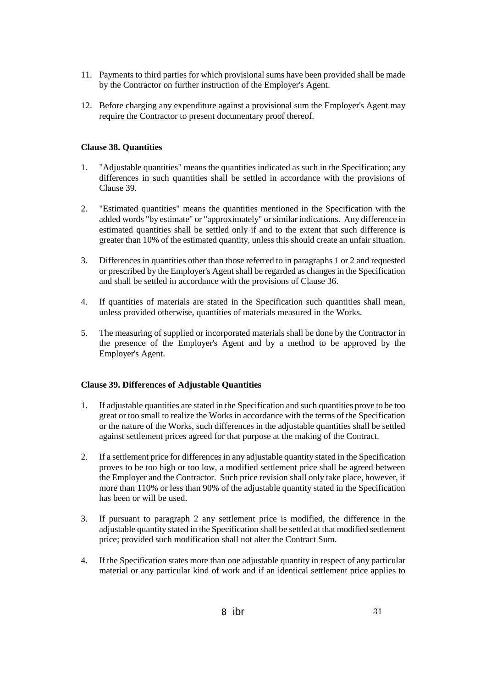- 11. Payments to third parties for which provisional sums have been provided shall be made by the Contractor on further instruction of the Employer's Agent.
- 12. Before charging any expenditure against a provisional sum the Employer's Agent may require the Contractor to present documentary proof thereof.

### **Clause 38. Quantities**

- 1. "Adjustable quantities" means the quantities indicated as such in the Specification; any differences in such quantities shall be settled in accordance with the provisions of Clause 39.
- 2. "Estimated quantities" means the quantities mentioned in the Specification with the added words "by estimate" or "approximately" or similar indications. Any difference in estimated quantities shall be settled only if and to the extent that such difference is greater than 10% of the estimated quantity, unless this should create an unfair situation.
- 3. Differences in quantities other than those referred to in paragraphs 1 or 2 and requested or prescribed by the Employer's Agent shall be regarded as changes in the Specification and shall be settled in accordance with the provisions of Clause 36.
- 4. If quantities of materials are stated in the Specification such quantities shall mean, unless provided otherwise, quantities of materials measured in the Works.
- 5. The measuring of supplied or incorporated materials shall be done by the Contractor in the presence of the Employer's Agent and by a method to be approved by the Employer's Agent.

## **Clause 39. Differences of Adjustable Quantities**

- 1. If adjustable quantities are stated in the Specification and such quantities prove to be too great or too small to realize the Works in accordance with the terms of the Specification or the nature of the Works, such differences in the adjustable quantities shall be settled against settlement prices agreed for that purpose at the making of the Contract.
- 2. If a settlement price for differences in any adjustable quantity stated in the Specification proves to be too high or too low, a modified settlement price shall be agreed between the Employer and the Contractor. Such price revision shall only take place, however, if more than 110% or less than 90% of the adjustable quantity stated in the Specification has been or will be used.
- 3. If pursuant to paragraph 2 any settlement price is modified, the difference in the adjustable quantity stated in the Specification shall be settled at that modified settlement price; provided such modification shall not alter the Contract Sum.
- 4. If the Specification states more than one adjustable quantity in respect of any particular material or any particular kind of work and if an identical settlement price applies to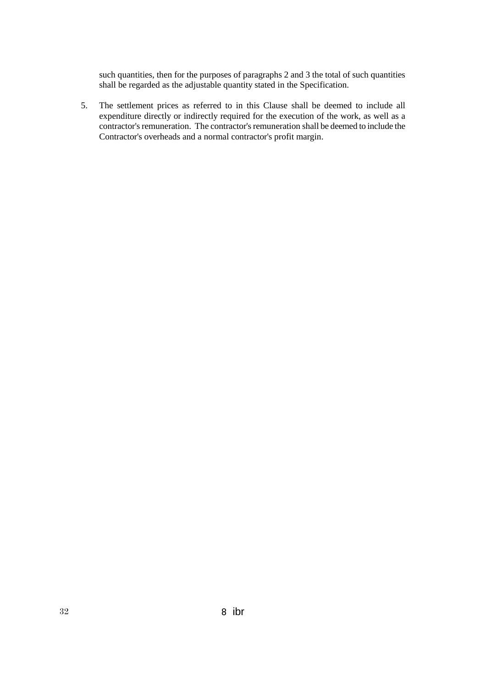such quantities, then for the purposes of paragraphs 2 and 3 the total of such quantities shall be regarded as the adjustable quantity stated in the Specification.

5. The settlement prices as referred to in this Clause shall be deemed to include all expenditure directly or indirectly required for the execution of the work, as well as a contractor's remuneration. The contractor's remuneration shall be deemed to include the Contractor's overheads and a normal contractor's profit margin.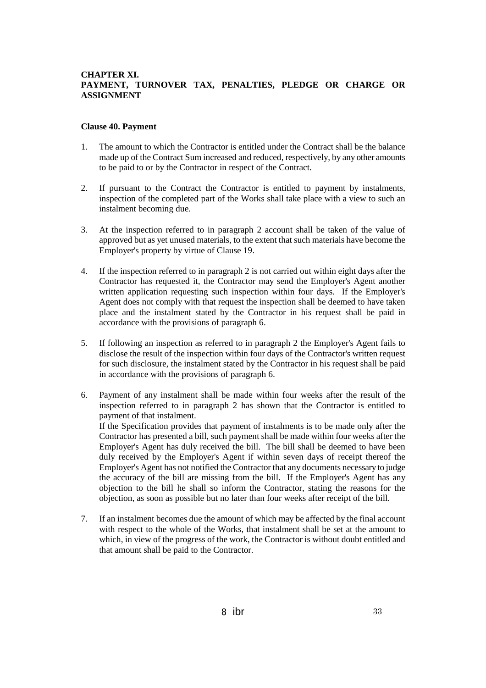### **CHAPTER XI. PAYMENT, TURNOVER TAX, PENALTIES, PLEDGE OR CHARGE OR ASSIGNMENT**

#### **Clause 40. Payment**

- 1. The amount to which the Contractor is entitled under the Contract shall be the balance made up of the Contract Sum increased and reduced, respectively, by any other amounts to be paid to or by the Contractor in respect of the Contract.
- 2. If pursuant to the Contract the Contractor is entitled to payment by instalments, inspection of the completed part of the Works shall take place with a view to such an instalment becoming due.
- 3. At the inspection referred to in paragraph 2 account shall be taken of the value of approved but as yet unused materials, to the extent that such materials have become the Employer's property by virtue of Clause 19.
- 4. If the inspection referred to in paragraph 2 is not carried out within eight days after the Contractor has requested it, the Contractor may send the Employer's Agent another written application requesting such inspection within four days. If the Employer's Agent does not comply with that request the inspection shall be deemed to have taken place and the instalment stated by the Contractor in his request shall be paid in accordance with the provisions of paragraph 6.
- 5. If following an inspection as referred to in paragraph 2 the Employer's Agent fails to disclose the result of the inspection within four days of the Contractor's written request for such disclosure, the instalment stated by the Contractor in his request shall be paid in accordance with the provisions of paragraph 6.
- 6. Payment of any instalment shall be made within four weeks after the result of the inspection referred to in paragraph 2 has shown that the Contractor is entitled to payment of that instalment. If the Specification provides that payment of instalments is to be made only after the Contractor has presented a bill, such payment shall be made within four weeks after the Employer's Agent has duly received the bill. The bill shall be deemed to have been duly received by the Employer's Agent if within seven days of receipt thereof the Employer's Agent has not notified the Contractor that any documents necessary to judge the accuracy of the bill are missing from the bill. If the Employer's Agent has any objection to the bill he shall so inform the Contractor, stating the reasons for the objection, as soon as possible but no later than four weeks after receipt of the bill.
- 7. If an instalment becomes due the amount of which may be affected by the final account with respect to the whole of the Works, that instalment shall be set at the amount to which, in view of the progress of the work, the Contractor is without doubt entitled and that amount shall be paid to the Contractor.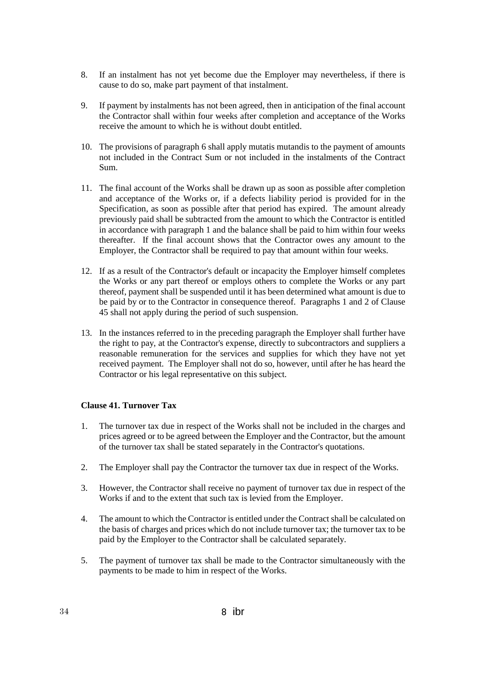- 8. If an instalment has not yet become due the Employer may nevertheless, if there is cause to do so, make part payment of that instalment.
- 9. If payment by instalments has not been agreed, then in anticipation of the final account the Contractor shall within four weeks after completion and acceptance of the Works receive the amount to which he is without doubt entitled.
- 10. The provisions of paragraph 6 shall apply mutatis mutandis to the payment of amounts not included in the Contract Sum or not included in the instalments of the Contract Sum.
- 11. The final account of the Works shall be drawn up as soon as possible after completion and acceptance of the Works or, if a defects liability period is provided for in the Specification, as soon as possible after that period has expired. The amount already previously paid shall be subtracted from the amount to which the Contractor is entitled in accordance with paragraph 1 and the balance shall be paid to him within four weeks thereafter. If the final account shows that the Contractor owes any amount to the Employer, the Contractor shall be required to pay that amount within four weeks.
- 12. If as a result of the Contractor's default or incapacity the Employer himself completes the Works or any part thereof or employs others to complete the Works or any part thereof, payment shall be suspended until it has been determined what amount is due to be paid by or to the Contractor in consequence thereof. Paragraphs 1 and 2 of Clause 45 shall not apply during the period of such suspension.
- 13. In the instances referred to in the preceding paragraph the Employer shall further have the right to pay, at the Contractor's expense, directly to subcontractors and suppliers a reasonable remuneration for the services and supplies for which they have not yet received payment. The Employer shall not do so, however, until after he has heard the Contractor or his legal representative on this subject.

#### **Clause 41. Turnover Tax**

- 1. The turnover tax due in respect of the Works shall not be included in the charges and prices agreed or to be agreed between the Employer and the Contractor, but the amount of the turnover tax shall be stated separately in the Contractor's quotations.
- 2. The Employer shall pay the Contractor the turnover tax due in respect of the Works.
- 3. However, the Contractor shall receive no payment of turnover tax due in respect of the Works if and to the extent that such tax is levied from the Employer.
- 4. The amount to which the Contractor is entitled under the Contract shall be calculated on the basis of charges and prices which do not include turnover tax; the turnover tax to be paid by the Employer to the Contractor shall be calculated separately.
- 5. The payment of turnover tax shall be made to the Contractor simultaneously with the payments to be made to him in respect of the Works.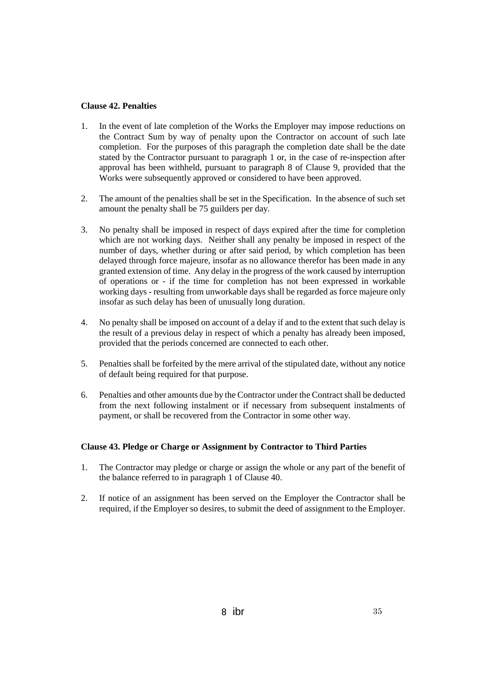#### **Clause 42. Penalties**

- 1. In the event of late completion of the Works the Employer may impose reductions on the Contract Sum by way of penalty upon the Contractor on account of such late completion. For the purposes of this paragraph the completion date shall be the date stated by the Contractor pursuant to paragraph 1 or, in the case of re-inspection after approval has been withheld, pursuant to paragraph 8 of Clause 9, provided that the Works were subsequently approved or considered to have been approved.
- 2. The amount of the penalties shall be set in the Specification. In the absence of such set amount the penalty shall be 75 guilders per day.
- 3. No penalty shall be imposed in respect of days expired after the time for completion which are not working days. Neither shall any penalty be imposed in respect of the number of days, whether during or after said period, by which completion has been delayed through force majeure, insofar as no allowance therefor has been made in any granted extension of time. Any delay in the progress of the work caused by interruption of operations or - if the time for completion has not been expressed in workable working days - resulting from unworkable days shall be regarded as force majeure only insofar as such delay has been of unusually long duration.
- 4. No penalty shall be imposed on account of a delay if and to the extent that such delay is the result of a previous delay in respect of which a penalty has already been imposed, provided that the periods concerned are connected to each other.
- 5. Penalties shall be forfeited by the mere arrival of the stipulated date, without any notice of default being required for that purpose.
- 6. Penalties and other amounts due by the Contractor under the Contract shall be deducted from the next following instalment or if necessary from subsequent instalments of payment, or shall be recovered from the Contractor in some other way.

## **Clause 43. Pledge or Charge or Assignment by Contractor to Third Parties**

- 1. The Contractor may pledge or charge or assign the whole or any part of the benefit of the balance referred to in paragraph 1 of Clause 40.
- 2. If notice of an assignment has been served on the Employer the Contractor shall be required, if the Employer so desires, to submit the deed of assignment to the Employer.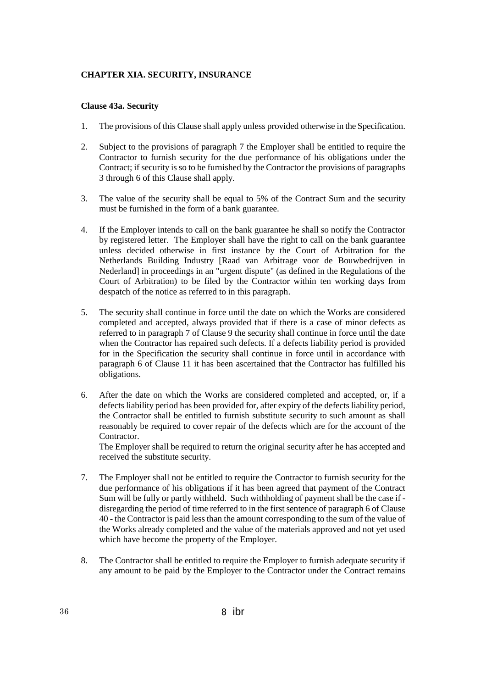#### **CHAPTER XIA. SECURITY, INSURANCE**

#### **Clause 43a. Security**

- 1. The provisions of this Clause shall apply unless provided otherwise in the Specification.
- 2. Subject to the provisions of paragraph 7 the Employer shall be entitled to require the Contractor to furnish security for the due performance of his obligations under the Contract; if security is so to be furnished by the Contractor the provisions of paragraphs 3 through 6 of this Clause shall apply.
- 3. The value of the security shall be equal to 5% of the Contract Sum and the security must be furnished in the form of a bank guarantee.
- 4. If the Employer intends to call on the bank guarantee he shall so notify the Contractor by registered letter. The Employer shall have the right to call on the bank guarantee unless decided otherwise in first instance by the Court of Arbitration for the Netherlands Building Industry [Raad van Arbitrage voor de Bouwbedrijven in Nederland] in proceedings in an "urgent dispute" (as defined in the Regulations of the Court of Arbitration) to be filed by the Contractor within ten working days from despatch of the notice as referred to in this paragraph.
- 5. The security shall continue in force until the date on which the Works are considered completed and accepted, always provided that if there is a case of minor defects as referred to in paragraph 7 of Clause 9 the security shall continue in force until the date when the Contractor has repaired such defects. If a defects liability period is provided for in the Specification the security shall continue in force until in accordance with paragraph 6 of Clause 11 it has been ascertained that the Contractor has fulfilled his obligations.
- 6. After the date on which the Works are considered completed and accepted, or, if a defects liability period has been provided for, after expiry of the defects liability period, the Contractor shall be entitled to furnish substitute security to such amount as shall reasonably be required to cover repair of the defects which are for the account of the Contractor.

The Employer shall be required to return the original security after he has accepted and received the substitute security.

- 7. The Employer shall not be entitled to require the Contractor to furnish security for the due performance of his obligations if it has been agreed that payment of the Contract Sum will be fully or partly withheld. Such withholding of payment shall be the case if disregarding the period of time referred to in the first sentence of paragraph 6 of Clause 40 - the Contractor is paid less than the amount corresponding to the sum of the value of the Works already completed and the value of the materials approved and not yet used which have become the property of the Employer.
- 8. The Contractor shall be entitled to require the Employer to furnish adequate security if any amount to be paid by the Employer to the Contractor under the Contract remains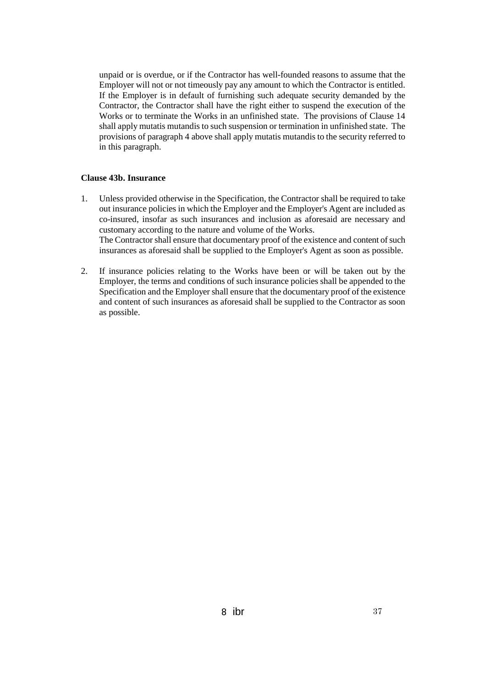unpaid or is overdue, or if the Contractor has well-founded reasons to assume that the Employer will not or not timeously pay any amount to which the Contractor is entitled. If the Employer is in default of furnishing such adequate security demanded by the Contractor, the Contractor shall have the right either to suspend the execution of the Works or to terminate the Works in an unfinished state. The provisions of Clause 14 shall apply mutatis mutandis to such suspension or termination in unfinished state. The provisions of paragraph 4 above shall apply mutatis mutandis to the security referred to in this paragraph.

#### **Clause 43b. Insurance**

- 1. Unless provided otherwise in the Specification, the Contractor shall be required to take out insurance policies in which the Employer and the Employer's Agent are included as co-insured, insofar as such insurances and inclusion as aforesaid are necessary and customary according to the nature and volume of the Works. The Contractor shall ensure that documentary proof of the existence and content of such insurances as aforesaid shall be supplied to the Employer's Agent as soon as possible.
- 2. If insurance policies relating to the Works have been or will be taken out by the Employer, the terms and conditions of such insurance policies shall be appended to the Specification and the Employer shall ensure that the documentary proof of the existence and content of such insurances as aforesaid shall be supplied to the Contractor as soon as possible.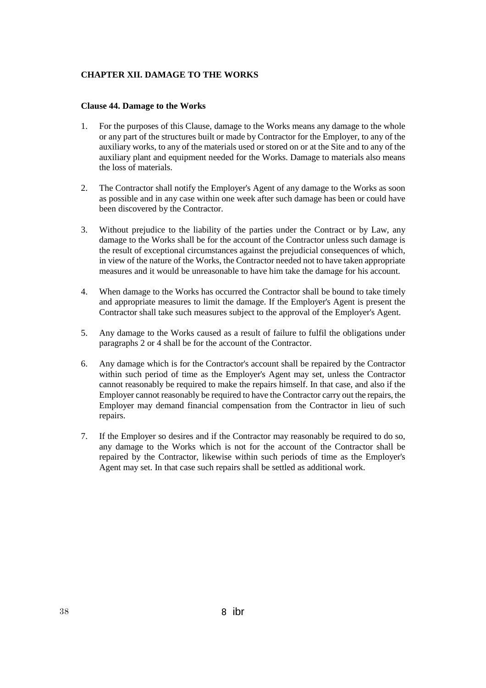## **CHAPTER XII. DAMAGE TO THE WORKS**

#### **Clause 44. Damage to the Works**

- 1. For the purposes of this Clause, damage to the Works means any damage to the whole or any part of the structures built or made by Contractor for the Employer, to any of the auxiliary works, to any of the materials used or stored on or at the Site and to any of the auxiliary plant and equipment needed for the Works. Damage to materials also means the loss of materials.
- 2. The Contractor shall notify the Employer's Agent of any damage to the Works as soon as possible and in any case within one week after such damage has been or could have been discovered by the Contractor.
- 3. Without prejudice to the liability of the parties under the Contract or by Law, any damage to the Works shall be for the account of the Contractor unless such damage is the result of exceptional circumstances against the prejudicial consequences of which, in view of the nature of the Works, the Contractor needed not to have taken appropriate measures and it would be unreasonable to have him take the damage for his account.
- 4. When damage to the Works has occurred the Contractor shall be bound to take timely and appropriate measures to limit the damage. If the Employer's Agent is present the Contractor shall take such measures subject to the approval of the Employer's Agent.
- 5. Any damage to the Works caused as a result of failure to fulfil the obligations under paragraphs 2 or 4 shall be for the account of the Contractor.
- 6. Any damage which is for the Contractor's account shall be repaired by the Contractor within such period of time as the Employer's Agent may set, unless the Contractor cannot reasonably be required to make the repairs himself. In that case, and also if the Employer cannot reasonably be required to have the Contractor carry out the repairs, the Employer may demand financial compensation from the Contractor in lieu of such repairs.
- 7. If the Employer so desires and if the Contractor may reasonably be required to do so, any damage to the Works which is not for the account of the Contractor shall be repaired by the Contractor, likewise within such periods of time as the Employer's Agent may set. In that case such repairs shall be settled as additional work.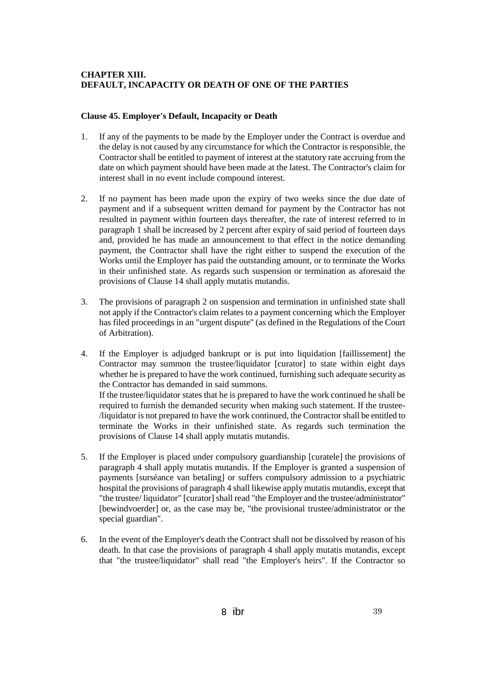## **CHAPTER XIII. DEFAULT, INCAPACITY OR DEATH OF ONE OF THE PARTIES**

### **Clause 45. Employer's Default, Incapacity or Death**

- 1. If any of the payments to be made by the Employer under the Contract is overdue and the delay is not caused by any circumstance for which the Contractor is responsible, the Contractor shall be entitled to payment of interest at the statutory rate accruing from the date on which payment should have been made at the latest. The Contractor's claim for interest shall in no event include compound interest.
- 2. If no payment has been made upon the expiry of two weeks since the due date of payment and if a subsequent written demand for payment by the Contractor has not resulted in payment within fourteen days thereafter, the rate of interest referred to in paragraph 1 shall be increased by 2 percent after expiry of said period of fourteen days and, provided he has made an announcement to that effect in the notice demanding payment, the Contractor shall have the right either to suspend the execution of the Works until the Employer has paid the outstanding amount, or to terminate the Works in their unfinished state. As regards such suspension or termination as aforesaid the provisions of Clause 14 shall apply mutatis mutandis.
- 3. The provisions of paragraph 2 on suspension and termination in unfinished state shall not apply if the Contractor's claim relates to a payment concerning which the Employer has filed proceedings in an "urgent dispute" (as defined in the Regulations of the Court of Arbitration).
- 4. If the Employer is adjudged bankrupt or is put into liquidation [faillissement] the Contractor may summon the trustee/liquidator [curator] to state within eight days whether he is prepared to have the work continued, furnishing such adequate security as the Contractor has demanded in said summons. If the trustee/liquidator states that he is prepared to have the work continued he shall be required to furnish the demanded security when making such statement. If the trustee- /liquidator is not prepared to have the work continued, the Contractor shall be entitled to terminate the Works in their unfinished state. As regards such termination the provisions of Clause 14 shall apply mutatis mutandis.
- 5. If the Employer is placed under compulsory guardianship [curatele] the provisions of paragraph 4 shall apply mutatis mutandis. If the Employer is granted a suspension of payments [surséance van betaling] or suffers compulsory admission to a psychiatric hospital the provisions of paragraph 4 shall likewise apply mutatis mutandis, except that "the trustee/ liquidator" [curator] shall read "the Employer and the trustee/administrator" [bewindvoerder] or, as the case may be, "the provisional trustee/administrator or the special guardian".
- 6. In the event of the Employer's death the Contract shall not be dissolved by reason of his death. In that case the provisions of paragraph 4 shall apply mutatis mutandis, except that "the trustee/liquidator" shall read "the Employer's heirs". If the Contractor so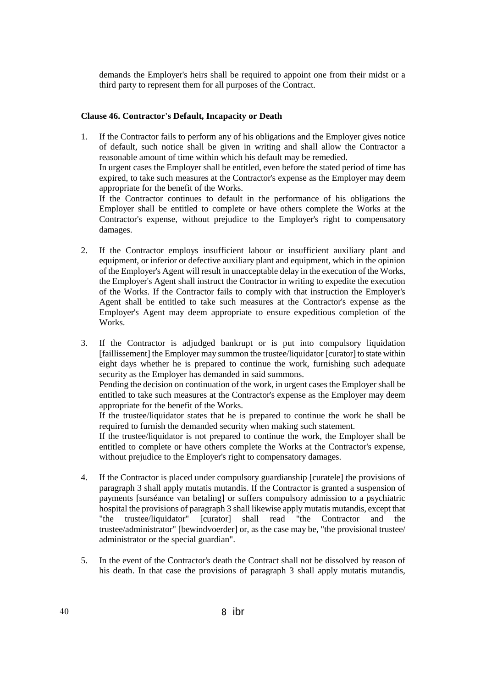demands the Employer's heirs shall be required to appoint one from their midst or a third party to represent them for all purposes of the Contract.

#### **Clause 46. Contractor's Default, Incapacity or Death**

- 1. If the Contractor fails to perform any of his obligations and the Employer gives notice of default, such notice shall be given in writing and shall allow the Contractor a reasonable amount of time within which his default may be remedied. In urgent cases the Employer shall be entitled, even before the stated period of time has expired, to take such measures at the Contractor's expense as the Employer may deem appropriate for the benefit of the Works. If the Contractor continues to default in the performance of his obligations the Employer shall be entitled to complete or have others complete the Works at the Contractor's expense, without prejudice to the Employer's right to compensatory damages.
- 2. If the Contractor employs insufficient labour or insufficient auxiliary plant and equipment, or inferior or defective auxiliary plant and equipment, which in the opinion of the Employer's Agent will result in unacceptable delay in the execution of the Works, the Employer's Agent shall instruct the Contractor in writing to expedite the execution of the Works. If the Contractor fails to comply with that instruction the Employer's Agent shall be entitled to take such measures at the Contractor's expense as the Employer's Agent may deem appropriate to ensure expeditious completion of the Works.
- 3. If the Contractor is adjudged bankrupt or is put into compulsory liquidation [faillissement] the Employer may summon the trustee/liquidator [curator] to state within eight days whether he is prepared to continue the work, furnishing such adequate security as the Employer has demanded in said summons.

Pending the decision on continuation of the work, in urgent cases the Employer shall be entitled to take such measures at the Contractor's expense as the Employer may deem appropriate for the benefit of the Works.

If the trustee/liquidator states that he is prepared to continue the work he shall be required to furnish the demanded security when making such statement.

If the trustee/liquidator is not prepared to continue the work, the Employer shall be entitled to complete or have others complete the Works at the Contractor's expense, without prejudice to the Employer's right to compensatory damages.

- 4. If the Contractor is placed under compulsory guardianship [curatele] the provisions of paragraph 3 shall apply mutatis mutandis. If the Contractor is granted a suspension of payments [surséance van betaling] or suffers compulsory admission to a psychiatric hospital the provisions of paragraph 3 shall likewise apply mutatis mutandis, except that "the trustee/liquidator" [curator] shall read "the Contractor and the trustee/administrator" [bewindvoerder] or, as the case may be, "the provisional trustee/ administrator or the special guardian".
- 5. In the event of the Contractor's death the Contract shall not be dissolved by reason of his death. In that case the provisions of paragraph 3 shall apply mutatis mutandis,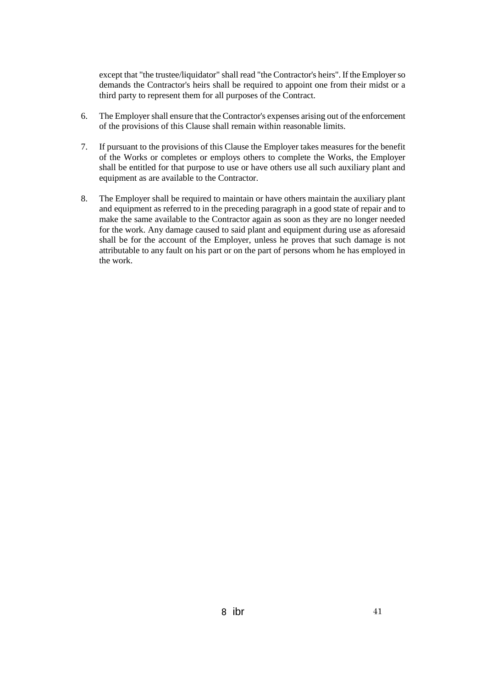except that "the trustee/liquidator" shall read "the Contractor's heirs". If the Employer so demands the Contractor's heirs shall be required to appoint one from their midst or a third party to represent them for all purposes of the Contract.

- 6. The Employer shall ensure that the Contractor's expenses arising out of the enforcement of the provisions of this Clause shall remain within reasonable limits.
- 7. If pursuant to the provisions of this Clause the Employer takes measures for the benefit of the Works or completes or employs others to complete the Works, the Employer shall be entitled for that purpose to use or have others use all such auxiliary plant and equipment as are available to the Contractor.
- 8. The Employer shall be required to maintain or have others maintain the auxiliary plant and equipment as referred to in the preceding paragraph in a good state of repair and to make the same available to the Contractor again as soon as they are no longer needed for the work. Any damage caused to said plant and equipment during use as aforesaid shall be for the account of the Employer, unless he proves that such damage is not attributable to any fault on his part or on the part of persons whom he has employed in the work.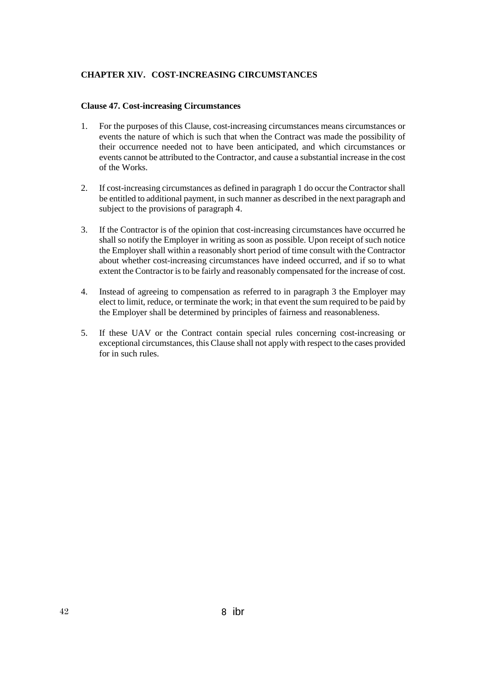### **CHAPTER XIV. COST-INCREASING CIRCUMSTANCES**

#### **Clause 47. Cost-increasing Circumstances**

- 1. For the purposes of this Clause, cost-increasing circumstances means circumstances or events the nature of which is such that when the Contract was made the possibility of their occurrence needed not to have been anticipated, and which circumstances or events cannot be attributed to the Contractor, and cause a substantial increase in the cost of the Works.
- 2. If cost-increasing circumstances as defined in paragraph 1 do occur the Contractor shall be entitled to additional payment, in such manner as described in the next paragraph and subject to the provisions of paragraph 4.
- 3. If the Contractor is of the opinion that cost-increasing circumstances have occurred he shall so notify the Employer in writing as soon as possible. Upon receipt of such notice the Employer shall within a reasonably short period of time consult with the Contractor about whether cost-increasing circumstances have indeed occurred, and if so to what extent the Contractor is to be fairly and reasonably compensated for the increase of cost.
- 4. Instead of agreeing to compensation as referred to in paragraph 3 the Employer may elect to limit, reduce, or terminate the work; in that event the sum required to be paid by the Employer shall be determined by principles of fairness and reasonableness.
- 5. If these UAV or the Contract contain special rules concerning cost-increasing or exceptional circumstances, this Clause shall not apply with respect to the cases provided for in such rules.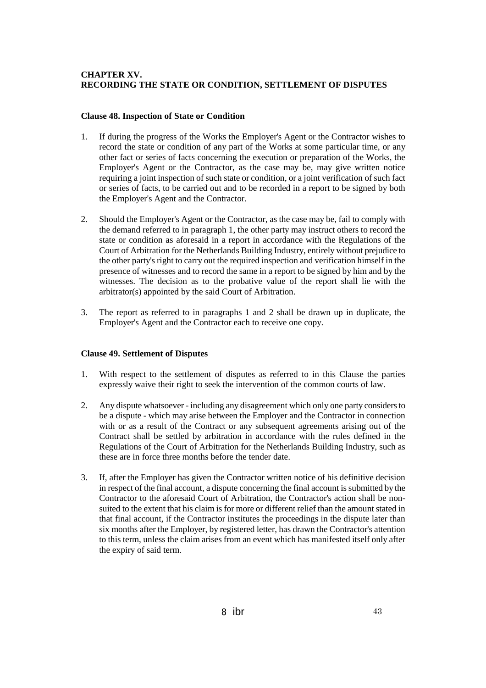## **CHAPTER XV. RECORDING THE STATE OR CONDITION, SETTLEMENT OF DISPUTES**

#### **Clause 48. Inspection of State or Condition**

- 1. If during the progress of the Works the Employer's Agent or the Contractor wishes to record the state or condition of any part of the Works at some particular time, or any other fact or series of facts concerning the execution or preparation of the Works, the Employer's Agent or the Contractor, as the case may be, may give written notice requiring a joint inspection of such state or condition, or a joint verification of such fact or series of facts, to be carried out and to be recorded in a report to be signed by both the Employer's Agent and the Contractor.
- 2. Should the Employer's Agent or the Contractor, as the case may be, fail to comply with the demand referred to in paragraph 1, the other party may instruct others to record the state or condition as aforesaid in a report in accordance with the Regulations of the Court of Arbitration for the Netherlands Building Industry, entirely without prejudice to the other party's right to carry out the required inspection and verification himself in the presence of witnesses and to record the same in a report to be signed by him and by the witnesses. The decision as to the probative value of the report shall lie with the arbitrator(s) appointed by the said Court of Arbitration.
- 3. The report as referred to in paragraphs 1 and 2 shall be drawn up in duplicate, the Employer's Agent and the Contractor each to receive one copy.

## **Clause 49. Settlement of Disputes**

- 1. With respect to the settlement of disputes as referred to in this Clause the parties expressly waive their right to seek the intervention of the common courts of law.
- 2. Any dispute whatsoever including any disagreement which only one party considers to be a dispute - which may arise between the Employer and the Contractor in connection with or as a result of the Contract or any subsequent agreements arising out of the Contract shall be settled by arbitration in accordance with the rules defined in the Regulations of the Court of Arbitration for the Netherlands Building Industry, such as these are in force three months before the tender date.
- 3. If, after the Employer has given the Contractor written notice of his definitive decision in respect of the final account, a dispute concerning the final account is submitted by the Contractor to the aforesaid Court of Arbitration, the Contractor's action shall be nonsuited to the extent that his claim is for more or different relief than the amount stated in that final account, if the Contractor institutes the proceedings in the dispute later than six months after the Employer, by registered letter, has drawn the Contractor's attention to this term, unless the claim arises from an event which has manifested itself only after the expiry of said term.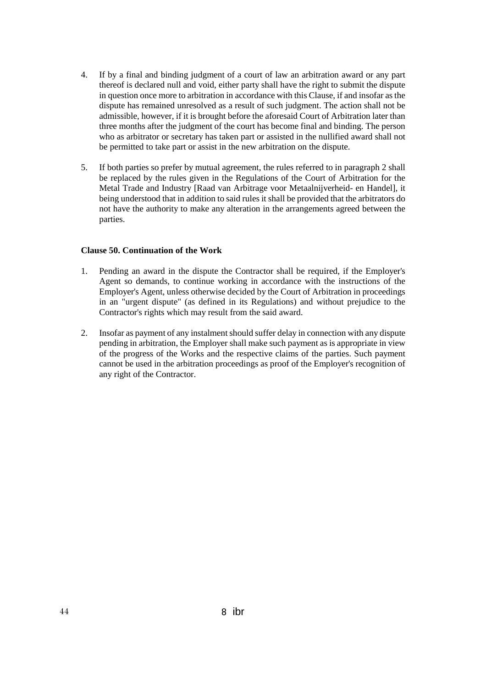- 4. If by a final and binding judgment of a court of law an arbitration award or any part thereof is declared null and void, either party shall have the right to submit the dispute in question once more to arbitration in accordance with this Clause, if and insofar as the dispute has remained unresolved as a result of such judgment. The action shall not be admissible, however, if it is brought before the aforesaid Court of Arbitration later than three months after the judgment of the court has become final and binding. The person who as arbitrator or secretary has taken part or assisted in the nullified award shall not be permitted to take part or assist in the new arbitration on the dispute.
- 5. If both parties so prefer by mutual agreement, the rules referred to in paragraph 2 shall be replaced by the rules given in the Regulations of the Court of Arbitration for the Metal Trade and Industry [Raad van Arbitrage voor Metaalnijverheid- en Handel], it being understood that in addition to said rules it shall be provided that the arbitrators do not have the authority to make any alteration in the arrangements agreed between the parties.

#### **Clause 50. Continuation of the Work**

- 1. Pending an award in the dispute the Contractor shall be required, if the Employer's Agent so demands, to continue working in accordance with the instructions of the Employer's Agent, unless otherwise decided by the Court of Arbitration in proceedings in an "urgent dispute" (as defined in its Regulations) and without prejudice to the Contractor's rights which may result from the said award.
- 2. Insofar as payment of any instalment should suffer delay in connection with any dispute pending in arbitration, the Employer shall make such payment as is appropriate in view of the progress of the Works and the respective claims of the parties. Such payment cannot be used in the arbitration proceedings as proof of the Employer's recognition of any right of the Contractor.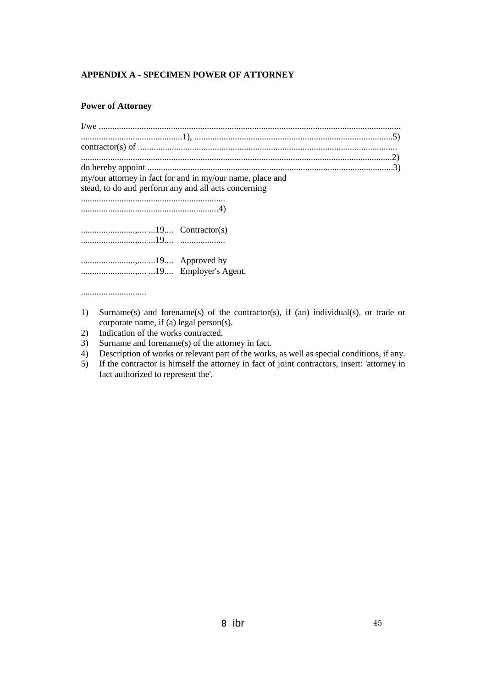## **APPENDIX A - SPECIMEN POWER OF ATTORNEY**

## **Power of Attorney**

.............................

| my/our attorney in fact for and in my/our name, place and<br>stead, to do and perform any and all acts concerning |  |
|-------------------------------------------------------------------------------------------------------------------|--|
|                                                                                                                   |  |
|                                                                                                                   |  |
|                                                                                                                   |  |
|                                                                                                                   |  |
|                                                                                                                   |  |
|                                                                                                                   |  |
|                                                                                                                   |  |

- 1) Surname(s) and forename(s) of the contractor(s), if (an) individual(s), or trade or corporate name, if (a) legal person(s).
- 2) Indication of the works contracted.
- 3) Surname and forename(s) of the attorney in fact.
- 4) Description of works or relevant part of the works, as well as special conditions, if any.
- 5) If the contractor is himself the attorney in fact of joint contractors, insert: 'attorney in fact authorized to represent the'.